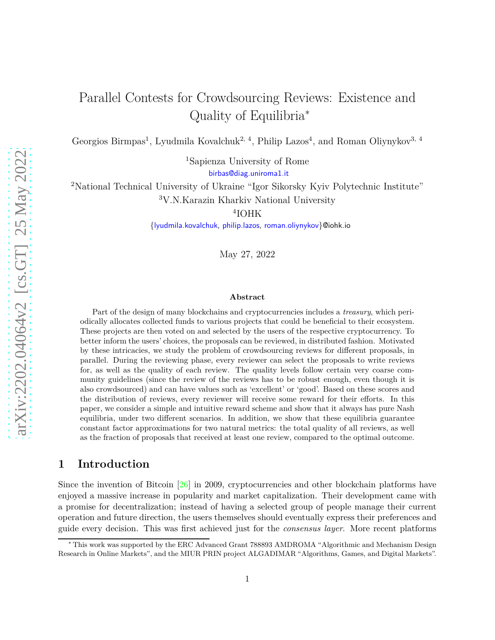# Parallel Contests for Crowdsourcing Reviews: Existence and Quality of Equilibria<sup>∗</sup>

Georgios Birmpas<sup>1</sup>, Lyudmila Kovalchuk<sup>2, 4</sup>, Philip Lazos<sup>4</sup>, and Roman Oliynykov<sup>3, 4</sup>

<sup>1</sup>Sapienza University of Rome [birbas@diag.uniroma1.it](mailto:birbas@diag.uniroma1.it)

<sup>2</sup>National Technical University of Ukraine "Igor Sikorsky Kyiv Polytechnic Institute" <sup>3</sup>V.N.Karazin Kharkiv National University

4 IOHK

[{lyudmila.kovalchuk,](mailto:lyudmila.kovalchuk@iohk.io) [philip.lazos,](mailto:philip.lazos@iohk.io) [roman.oliynykov}](mailto:roman.oliynykov@iohk.io)@iohk.io

May 27, 2022

#### **Abstract**

Part of the design of many blockchains and cryptocurrencies includes a *treasury*, which periodically allocates collected funds to various projects that could be beneficial to their ecosystem. These projects are then voted on and selected by the users of the respective cryptocurrency. To better inform the users' choices, the proposals can be reviewed, in distributed fashion. Motivated by these intricacies, we study the problem of crowdsourcing reviews for different proposals, in parallel. During the reviewing phase, every reviewer can select the proposals to write reviews for, as well as the quality of each review. The quality levels follow certain very coarse community guidelines (since the review of the reviews has to be robust enough, even though it is also crowdsourced) and can have values such as 'excellent' or 'good'. Based on these scores and the distribution of reviews, every reviewer will receive some reward for their efforts. In this paper, we consider a simple and intuitive reward scheme and show that it always has pure Nash equilibria, under two different scenarios. In addition, we show that these equilibria guarantee constant factor approximations for two natural metrics: the total quality of all reviews, as well as the fraction of proposals that received at least one review, compared to the optimal outcome.

# **1 Introduction**

Since the invention of Bitcoin [\[26](#page-24-0)] in 2009, cryptocurrencies and other blockchain platforms have enjoyed a massive increase in popularity and market capitalization. Their development came with a promise for decentralization; instead of having a selected group of people manage their current operation and future direction, the users themselves should eventually express their preferences and guide every decision. This was first achieved just for the *consensus layer*. More recent platforms

<sup>∗</sup> This work was supported by the ERC Advanced Grant 788893 AMDROMA "Algorithmic and Mechanism Design Research in Online Markets", and the MIUR PRIN project ALGADIMAR "Algorithms, Games, and Digital Markets".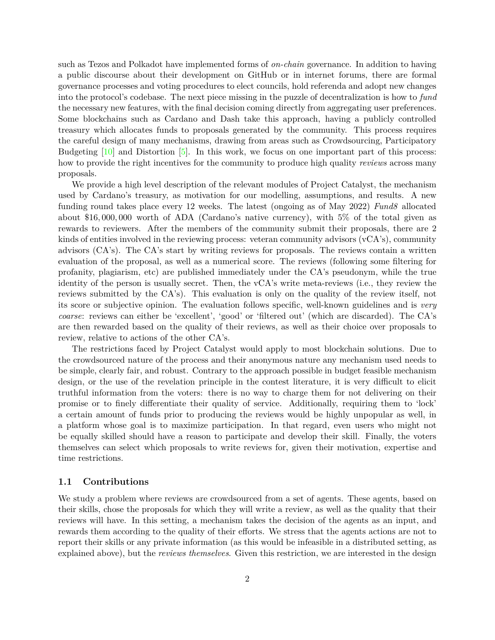such as Tezos and Polkadot have implemented forms of *on-chain* governance. In addition to having a public discourse about their development on GitHub or in internet forums, there are formal governance processes and voting procedures to elect councils, hold referenda and adopt new changes into the protocol's codebase. The next piece missing in the puzzle of decentralization is how to *fund* the necessary new features, with the final decision coming directly from aggregating user preferences. Some blockchains such as Cardano and Dash take this approach, having a publicly controlled treasury which allocates funds to proposals generated by the community. This process requires the careful design of many mechanisms, drawing from areas such as Crowdsourcing, Participatory Budgeting  $[10]$  and Distortion  $[5]$ . In this work, we focus on one important part of this process: how to provide the right incentives for the community to produce high quality *reviews* across many proposals.

We provide a high level description of the relevant modules of Project Catalyst, the mechanism used by Cardano's treasury, as motivation for our modelling, assumptions, and results. A new funding round takes place every 12 weeks. The latest (ongoing as of May 2022) *Fund8* allocated about \$16*,* 000*,* 000 worth of ADA (Cardano's native currency), with 5% of the total given as rewards to reviewers. After the members of the community submit their proposals, there are 2 kinds of entities involved in the reviewing process: veteran community advisors (vCA's), community advisors (CA's). The CA's start by writing reviews for proposals. The reviews contain a written evaluation of the proposal, as well as a numerical score. The reviews (following some filtering for profanity, plagiarism, etc) are published immediately under the CA's pseudonym, while the true identity of the person is usually secret. Then, the vCA's write meta-reviews (i.e., they review the reviews submitted by the CA's). This evaluation is only on the quality of the review itself, not its score or subjective opinion. The evaluation follows specific, well-known guidelines and is *very coarse*: reviews can either be 'excellent', 'good' or 'filtered out' (which are discarded). The CA's are then rewarded based on the quality of their reviews, as well as their choice over proposals to review, relative to actions of the other CA's.

The restrictions faced by Project Catalyst would apply to most blockchain solutions. Due to the crowdsourced nature of the process and their anonymous nature any mechanism used needs to be simple, clearly fair, and robust. Contrary to the approach possible in budget feasible mechanism design, or the use of the revelation principle in the contest literature, it is very difficult to elicit truthful information from the voters: there is no way to charge them for not delivering on their promise or to finely differentiate their quality of service. Additionally, requiring them to 'lock' a certain amount of funds prior to producing the reviews would be highly unpopular as well, in a platform whose goal is to maximize participation. In that regard, even users who might not be equally skilled should have a reason to participate and develop their skill. Finally, the voters themselves can select which proposals to write reviews for, given their motivation, expertise and time restrictions.

### **1.1 Contributions**

We study a problem where reviews are crowdsourced from a set of agents. These agents, based on their skills, chose the proposals for which they will write a review, as well as the quality that their reviews will have. In this setting, a mechanism takes the decision of the agents as an input, and rewards them according to the quality of their efforts. We stress that the agents actions are not to report their skills or any private information (as this would be infeasible in a distributed setting, as explained above), but the *reviews themselves*. Given this restriction, we are interested in the design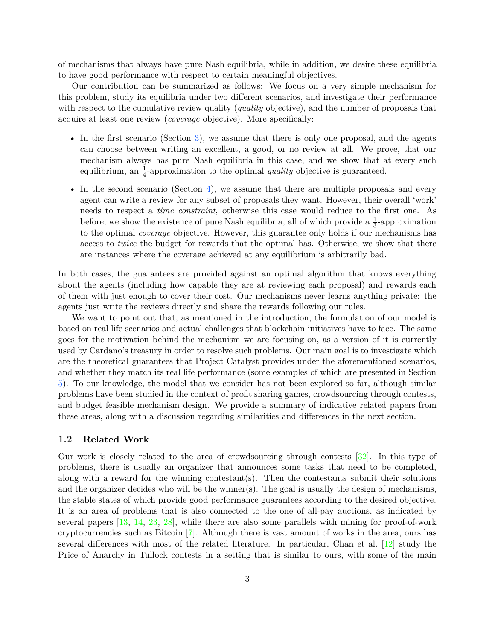of mechanisms that always have pure Nash equilibria, while in addition, we desire these equilibria to have good performance with respect to certain meaningful objectives.

Our contribution can be summarized as follows: We focus on a very simple mechanism for this problem, study its equilibria under two different scenarios, and investigate their performance with respect to the cumulative review quality (*quality* objective), and the number of proposals that acquire at least one review (*coverage* objective). More specifically:

- In the first scenario (Section [3\)](#page-6-0), we assume that there is only one proposal, and the agents can choose between writing an excellent, a good, or no review at all. We prove, that our mechanism always has pure Nash equilibria in this case, and we show that at every such equilibrium, an  $\frac{1}{4}$ -approximation to the optimal *quality* objective is guaranteed.
- In the second scenario (Section [4\)](#page-16-0), we assume that there are multiple proposals and every agent can write a review for any subset of proposals they want. However, their overall 'work' needs to respect a *time constraint*, otherwise this case would reduce to the first one. As before, we show the existence of pure Nash equilibria, all of which provide a  $\frac{1}{3}$ -approximation to the optimal *coverage* objective. However, this guarantee only holds if our mechanisms has access to *twice* the budget for rewards that the optimal has. Otherwise, we show that there are instances where the coverage achieved at any equilibrium is arbitrarily bad.

In both cases, the guarantees are provided against an optimal algorithm that knows everything about the agents (including how capable they are at reviewing each proposal) and rewards each of them with just enough to cover their cost. Our mechanisms never learns anything private: the agents just write the reviews directly and share the rewards following our rules.

We want to point out that, as mentioned in the introduction, the formulation of our model is based on real life scenarios and actual challenges that blockchain initiatives have to face. The same goes for the motivation behind the mechanism we are focusing on, as a version of it is currently used by Cardano's treasury in order to resolve such problems. Our main goal is to investigate which are the theoretical guarantees that Project Catalyst provides under the aforementioned scenarios, and whether they match its real life performance (some examples of which are presented in Section [5\)](#page-21-0). To our knowledge, the model that we consider has not been explored so far, although similar problems have been studied in the context of profit sharing games, crowdsourcing through contests, and budget feasible mechanism design. We provide a summary of indicative related papers from these areas, along with a discussion regarding similarities and differences in the next section.

#### **1.2 Related Work**

Our work is closely related to the area of crowdsourcing through contests [\[32\]](#page-24-1). In this type of problems, there is usually an organizer that announces some tasks that need to be completed, along with a reward for the winning contestant(s). Then the contestants submit their solutions and the organizer decides who will be the winner(s). The goal is usually the design of mechanisms, the stable states of which provide good performance guarantees according to the desired objective. It is an area of problems that is also connected to the one of all-pay auctions, as indicated by several papers [\[13](#page-23-0), [14,](#page-23-1) [23](#page-23-2), [28](#page-24-2)], while there are also some parallels with mining for proof-of-work cryptocurrencies such as Bitcoin [\[7](#page-22-2)]. Although there is vast amount of works in the area, ours has several differences with most of the related literature. In particular, Chan et al. [\[12](#page-23-3)] study the Price of Anarchy in Tullock contests in a setting that is similar to ours, with some of the main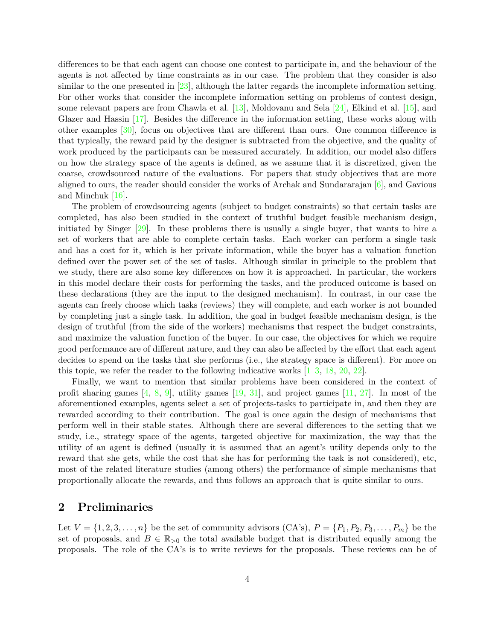differences to be that each agent can choose one contest to participate in, and the behaviour of the agents is not affected by time constraints as in our case. The problem that they consider is also similar to the one presented in [\[23](#page-23-2)], although the latter regards the incomplete information setting. For other works that consider the incomplete information setting on problems of contest design, some relevant papers are from Chawla et al. [\[13](#page-23-0)], Moldovanu and Sela [\[24](#page-23-4)], Elkind et al. [\[15\]](#page-23-5), and Glazer and Hassin [\[17](#page-23-6)]. Besides the difference in the information setting, these works along with other examples [\[30](#page-24-3)], focus on objectives that are different than ours. One common difference is that typically, the reward paid by the designer is subtracted from the objective, and the quality of work produced by the participants can be measured accurately. In addition, our model also differs on how the strategy space of the agents is defined, as we assume that it is discretized, given the coarse, crowdsourced nature of the evaluations. For papers that study objectives that are more aligned to ours, the reader should consider the works of Archak and Sundararajan [\[6](#page-22-3)], and Gavious and Minchuk [\[16](#page-23-7)].

The problem of crowdsourcing agents (subject to budget constraints) so that certain tasks are completed, has also been studied in the context of truthful budget feasible mechanism design, initiated by Singer [\[29\]](#page-24-4). In these problems there is usually a single buyer, that wants to hire a set of workers that are able to complete certain tasks. Each worker can perform a single task and has a cost for it, which is her private information, while the buyer has a valuation function defined over the power set of the set of tasks. Although similar in principle to the problem that we study, there are also some key differences on how it is approached. In particular, the workers in this model declare their costs for performing the tasks, and the produced outcome is based on these declarations (they are the input to the designed mechanism). In contrast, in our case the agents can freely choose which tasks (reviews) they will complete, and each worker is not bounded by completing just a single task. In addition, the goal in budget feasible mechanism design, is the design of truthful (from the side of the workers) mechanisms that respect the budget constraints, and maximize the valuation function of the buyer. In our case, the objectives for which we require good performance are of different nature, and they can also be affected by the effort that each agent decides to spend on the tasks that she performs (i.e., the strategy space is different). For more on this topic, we refer the reader to the following indicative works [\[1](#page-22-4)[–3](#page-22-5), [18,](#page-23-8) [20](#page-23-9), [22](#page-23-10)].

Finally, we want to mention that similar problems have been considered in the context of profit sharing games  $[4, 8, 9]$  $[4, 8, 9]$  $[4, 8, 9]$  $[4, 8, 9]$ , utility games  $[19, 31]$  $[19, 31]$ , and project games  $[11, 27]$  $[11, 27]$  $[11, 27]$ . In most of the aforementioned examples, agents select a set of projects-tasks to participate in, and then they are rewarded according to their contribution. The goal is once again the design of mechanisms that perform well in their stable states. Although there are several differences to the setting that we study, i.e., strategy space of the agents, targeted objective for maximization, the way that the utility of an agent is defined (usually it is assumed that an agent's utility depends only to the reward that she gets, while the cost that she has for performing the task is not considered), etc, most of the related literature studies (among others) the performance of simple mechanisms that proportionally allocate the rewards, and thus follows an approach that is quite similar to ours.

### **2 Preliminaries**

Let  $V = \{1, 2, 3, \ldots, n\}$  be the set of community advisors  $(CA's)$ ,  $P = \{P_1, P_2, P_3, \ldots, P_m\}$  be the set of proposals, and  $B \in \mathbb{R}_{>0}$  the total available budget that is distributed equally among the proposals. The role of the CA's is to write reviews for the proposals. These reviews can be of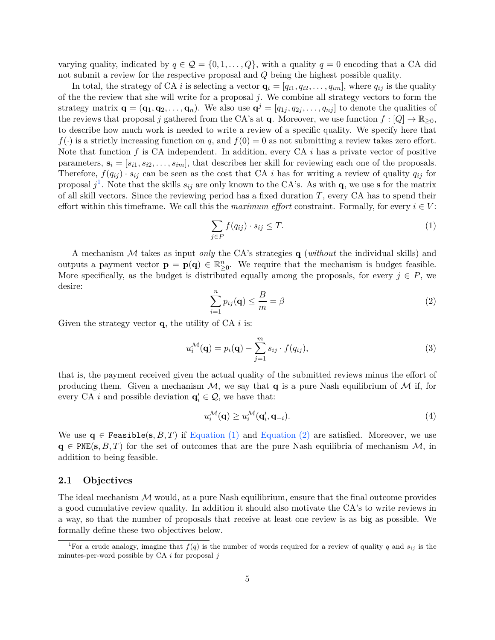varying quality, indicated by  $q \in \mathcal{Q} = \{0, 1, \ldots, Q\}$ , with a quality  $q = 0$  encoding that a CA did not submit a review for the respective proposal and *Q* being the highest possible quality.

In total, the strategy of CA *i* is selecting a vector  $\mathbf{q}_i = [q_{i1}, q_{i2}, \dots, q_{im}]$ , where  $q_{ij}$  is the quality of the the review that she will write for a proposal *j*. We combine all strategy vectors to form the strategy matrix  $\mathbf{q} = (\mathbf{q}_1, \mathbf{q}_2, \dots, \mathbf{q}_n)$ . We also use  $\mathbf{q}^j = [q_{1j}, q_{2j}, \dots, q_{nj}]$  to denote the qualities of the reviews that proposal *j* gathered from the CA's at **q**. Moreover, we use function  $f : [Q] \to \mathbb{R}_{\geq 0}$ , to describe how much work is needed to write a review of a specific quality. We specify here that  $f(\cdot)$  is a strictly increasing function on *q*, and  $f(0) = 0$  as not submitting a review takes zero effort. Note that function *f* is CA independent. In addition, every CA *i* has a private vector of positive parameters,  $\mathbf{s}_i = [s_{i1}, s_{i2}, \ldots, s_{im}]$ , that describes her skill for reviewing each one of the proposals. Therefore,  $f(q_{ij}) \cdot s_{ij}$  can be seen as the cost that CA *i* has for writing a review of quality  $q_{ij}$  for proposal  $j^1$  $j^1$ . Note that the skills  $s_{ij}$  are only known to the CA's. As with **q**, we use **s** for the matrix of all skill vectors. Since the reviewing period has a fixed duration *T*, every CA has to spend their effort within this timeframe. We call this the *maximum effort* constraint. Formally, for every  $i \in V$ :

<span id="page-4-1"></span>
$$
\sum_{j \in P} f(q_{ij}) \cdot s_{ij} \le T. \tag{1}
$$

<span id="page-4-2"></span>A mechanism M takes as input *only* the CA's strategies **q** (*without* the individual skills) and outputs a payment vector  $\mathbf{p} = \mathbf{p}(\mathbf{q}) \in \mathbb{R}_{\geq 0}^n$ . We require that the mechanism is budget feasible. More specifically, as the budget is distributed equally among the proposals, for every  $j \in P$ , we desire:

$$
\sum_{i=1}^{n} p_{ij}(\mathbf{q}) \le \frac{B}{m} = \beta \tag{2}
$$

Given the strategy vector **q**, the utility of CA *i* is:

$$
u_i^{\mathcal{M}}(\mathbf{q}) = p_i(\mathbf{q}) - \sum_{j=1}^m s_{ij} \cdot f(q_{ij}),
$$
\n(3)

that is, the payment received given the actual quality of the submitted reviews minus the effort of producing them. Given a mechanism  $M$ , we say that **q** is a pure Nash equilibrium of  $M$  if, for every CA *i* and possible deviation  $\mathbf{q}'_i \in \mathcal{Q}$ , we have that:

$$
u_i^{\mathcal{M}}(\mathbf{q}) \ge u_i^{\mathcal{M}}(\mathbf{q}'_i, \mathbf{q}_{-i}).
$$
\n(4)

We use  $q \in$  Feasible(s, B, T) if [Equation \(1\)](#page-4-1) and [Equation \(2\)](#page-4-2) are satisfied. Moreover, we use  $q \in PNE(s, B, T)$  for the set of outcomes that are the pure Nash equilibria of mechanism  $M$ , in addition to being feasible.

#### **2.1 Objectives**

The ideal mechanism  $M$  would, at a pure Nash equilibrium, ensure that the final outcome provides a good cumulative review quality. In addition it should also motivate the CA's to write reviews in a way, so that the number of proposals that receive at least one review is as big as possible. We formally define these two objectives below.

<span id="page-4-0"></span><sup>&</sup>lt;sup>1</sup>For a crude analogy, imagine that  $f(q)$  is the number of words required for a review of quality  $q$  and  $s_{ij}$  is the minutes-per-word possible by CA *i* for proposal *j*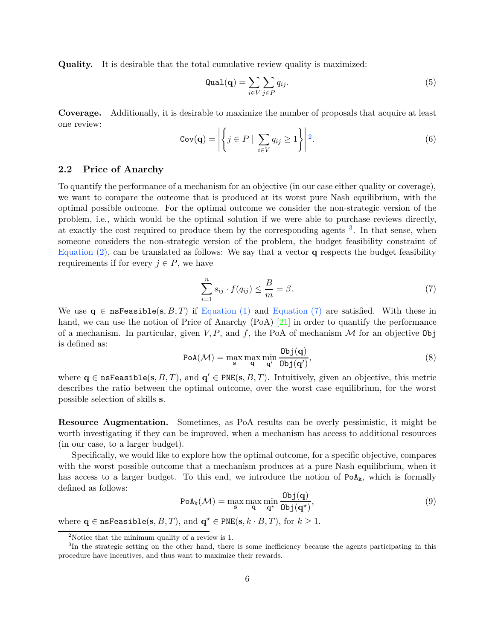**Quality.** It is desirable that the total cumulative review quality is maximized:

$$
\text{Quad}(\mathbf{q}) = \sum_{i \in V} \sum_{j \in P} q_{ij}.\tag{5}
$$

**Coverage.** Additionally, it is desirable to maximize the number of proposals that acquire at least one review:

$$
Cov(\mathbf{q}) = \left| \left\{ j \in P \mid \sum_{i \in V} q_{ij} \ge 1 \right\} \right| 2.
$$
 (6)

#### **2.2 Price of Anarchy**

To quantify the performance of a mechanism for an objective (in our case either quality or coverage), we want to compare the outcome that is produced at its worst pure Nash equilibrium, with the optimal possible outcome. For the optimal outcome we consider the non-strategic version of the problem, i.e., which would be the optimal solution if we were able to purchase reviews directly, at exactly the cost required to produce them by the corresponding agents <sup>[3](#page-5-1)</sup>. In that sense, when someone considers the non-strategic version of the problem, the budget feasibility constraint of [Equation \(2\),](#page-4-2) can be translated as follows: We say that a vector **q** respects the budget feasibility requirements if for every  $j \in P$ , we have

$$
\sum_{i=1}^{n} s_{ij} \cdot f(q_{ij}) \le \frac{B}{m} = \beta. \tag{7}
$$

<span id="page-5-2"></span>We use  $q \in \text{nsFeasible}(s, B, T)$  if [Equation \(1\)](#page-4-1) and [Equation \(7\)](#page-5-2) are satisfied. With these in hand, we can use the notion of Price of Anarchy (PoA) [\[21](#page-23-12)] in order to quantify the performance of a mechanism. In particular, given  $V, P$ , and  $f$ , the PoA of mechanism  $M$  for an objective Obj is defined as:

$$
PoA(\mathcal{M}) = \max_{\mathbf{s}} \max_{\mathbf{q}} \min_{\mathbf{q}'} \frac{\text{Obj}(\mathbf{q})}{\text{Obj}(\mathbf{q}')},\tag{8}
$$

where  $\mathbf{q} \in \texttt{nsFeasible}(\mathbf{s}, B, T)$ , and  $\mathbf{q}' \in \texttt{PNE}(\mathbf{s}, B, T)$ . Intuitively, given an objective, this metric describes the ratio between the optimal outcome, over the worst case equilibrium, for the worst possible selection of skills **s**.

**Resource Augmentation.** Sometimes, as PoA results can be overly pessimistic, it might be worth investigating if they can be improved, when a mechanism has access to additional resources (in our case, to a larger budget).

Specifically, we would like to explore how the optimal outcome, for a specific objective, compares with the worst possible outcome that a mechanism produces at a pure Nash equilibrium, when it has access to a larger budget. To this end, we introduce the notion of  $PoA_k$ , which is formally defined as follows:

$$
PoA_k(\mathcal{M}) = \max_{\mathbf{s}} \max_{\mathbf{q}} \min_{\mathbf{q}^{\star}} \frac{\text{Obj}(\mathbf{q})}{\text{Obj}(\mathbf{q}^{\star})},\tag{9}
$$

where  $\mathbf{q} \in \texttt{nsfeasible}(\mathbf{s}, B, T)$ , and  $\mathbf{q}^{\star} \in \texttt{PNE}(\mathbf{s}, k \cdot B, T)$ , for  $k \geq 1$ .

<span id="page-5-0"></span><sup>&</sup>lt;sup>2</sup>Notice that the minimum quality of a review is 1.

<span id="page-5-1"></span><sup>&</sup>lt;sup>3</sup>In the strategic setting on the other hand, there is some inefficiency because the agents participating in this procedure have incentives, and thus want to maximize their rewards.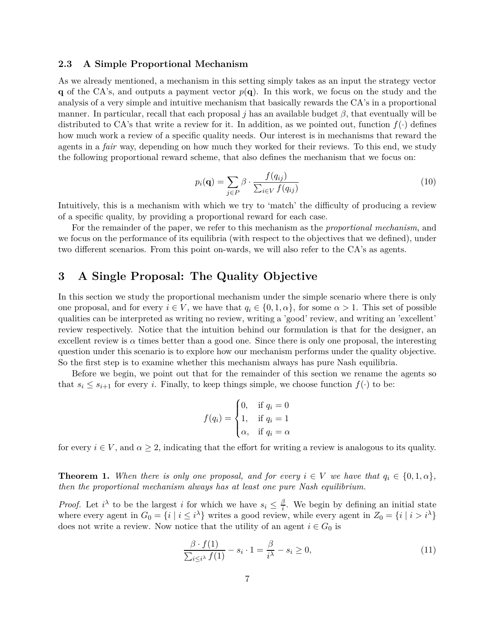### **2.3 A Simple Proportional Mechanism**

As we already mentioned, a mechanism in this setting simply takes as an input the strategy vector **q** of the CA's, and outputs a payment vector  $p(\mathbf{q})$ . In this work, we focus on the study and the analysis of a very simple and intuitive mechanism that basically rewards the CA's in a proportional manner. In particular, recall that each proposal *j* has an available budget  $\beta$ , that eventually will be distributed to CA's that write a review for it. In addition, as we pointed out, function  $f(\cdot)$  defines how much work a review of a specific quality needs. Our interest is in mechanisms that reward the agents in a *fair* way, depending on how much they worked for their reviews. To this end, we study the following proportional reward scheme, that also defines the mechanism that we focus on:

$$
p_i(\mathbf{q}) = \sum_{j \in P} \beta \cdot \frac{f(q_{ij})}{\sum_{i \in V} f(q_{ij})}
$$
(10)

Intuitively, this is a mechanism with which we try to 'match' the difficulty of producing a review of a specific quality, by providing a proportional reward for each case.

For the remainder of the paper, we refer to this mechanism as the *proportional mechanism*, and we focus on the performance of its equilibria (with respect to the objectives that we defined), under two different scenarios. From this point on-wards, we will also refer to the CA's as agents.

# <span id="page-6-0"></span>**3 A Single Proposal: The Quality Objective**

In this section we study the proportional mechanism under the simple scenario where there is only one proposal, and for every  $i \in V$ , we have that  $q_i \in \{0, 1, \alpha\}$ , for some  $\alpha > 1$ . This set of possible qualities can be interpreted as writing no review, writing a 'good' review, and writing an 'excellent' review respectively. Notice that the intuition behind our formulation is that for the designer, an excellent review is  $\alpha$  times better than a good one. Since there is only one proposal, the interesting question under this scenario is to explore how our mechanism performs under the quality objective. So the first step is to examine whether this mechanism always has pure Nash equilibria.

Before we begin, we point out that for the remainder of this section we rename the agents so that  $s_i \leq s_{i+1}$  for every *i*. Finally, to keep things simple, we choose function  $f(\cdot)$  to be:

$$
f(q_i) = \begin{cases} 0, & \text{if } q_i = 0 \\ 1, & \text{if } q_i = 1 \\ \alpha, & \text{if } q_i = \alpha \end{cases}
$$

<span id="page-6-1"></span>for every  $i \in V$ , and  $\alpha \geq 2$ , indicating that the effort for writing a review is analogous to its quality.

**Theorem 1.** When there is only one proposal, and for every  $i \in V$  we have that  $q_i \in \{0, 1, \alpha\}$ , *then the proportional mechanism always has at least one pure Nash equilibrium.*

*Proof.* Let  $i^{\lambda}$  to be the largest *i* for which we have  $s_i \leq \frac{\beta}{i}$  $\frac{\beta}{i}$ . We begin by defining an initial state where every agent in  $G_0 = \{i \mid i \leq i^{\lambda}\}\$  writes a good review, while every agent in  $Z_0 = \{i \mid i > i^{\lambda}\}\$ does not write a review. Now notice that the utility of an agent  $i \in G_0$  is

$$
\frac{\beta \cdot f(1)}{\sum_{i \le i^{\lambda}} f(1)} - s_i \cdot 1 = \frac{\beta}{i^{\lambda}} - s_i \ge 0,
$$
\n(11)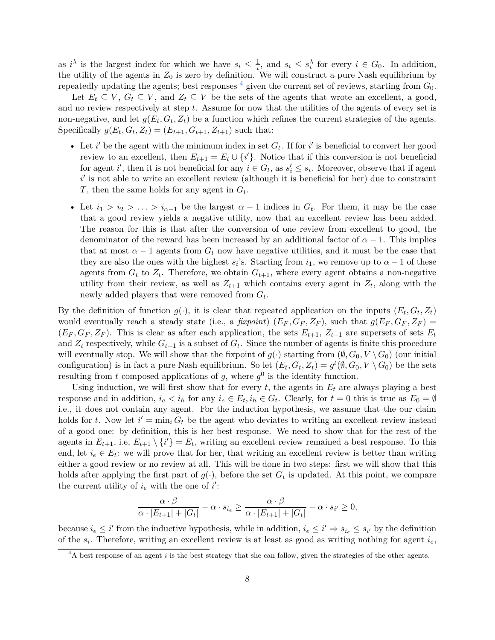as *i*<sup> $\lambda$ </sup> is the largest index for which we have  $s_i \leq \frac{1}{i}$ , and  $s_i \leq s_i^{\lambda}$  for every  $i \in G_0$ . In addition, the utility of the agents in  $Z_0$  is zero by definition. We will construct a pure Nash equilibrium by repeatedly updating the agents; best responses  $\frac{4}{3}$  $\frac{4}{3}$  $\frac{4}{3}$  given the current set of reviews, starting from  $G_0$ .

Let  $E_t \subseteq V$ ,  $G_t \subseteq V$ , and  $Z_t \subseteq V$  be the sets of the agents that wrote an excellent, a good, and no review respectively at step *t*. Assume for now that the utilities of the agents of every set is non-negative, and let  $g(E_t, G_t, Z_t)$  be a function which refines the current strategies of the agents. Specifically  $g(E_t, G_t, Z_t) = (E_{t+1}, G_{t+1}, Z_{t+1})$  such that:

- Let  $i'$  be the agent with the minimum index in set  $G_t$ . If for  $i'$  is beneficial to convert her good review to an excellent, then  $E_{t+1} = E_t \cup \{i'\}$ . Notice that if this conversion is not beneficial for agent *i*', then it is not beneficial for any  $i \in G_t$ , as  $s'_i \leq s_i$ . Moreover, observe that if agent i<sup>'</sup> is not able to write an excellent review (although it is beneficial for her) due to constraint *T*, then the same holds for any agent in *G<sup>t</sup>* .
- Let  $i_1 > i_2 > \ldots > i_{\alpha-1}$  be the largest  $\alpha 1$  indices in  $G_t$ . For them, it may be the case that a good review yields a negative utility, now that an excellent review has been added. The reason for this is that after the conversion of one review from excellent to good, the denominator of the reward has been increased by an additional factor of  $\alpha - 1$ . This implies that at most  $\alpha - 1$  agents from  $G_t$  now have negative utilities, and it must be the case that they are also the ones with the highest  $s_i$ 's. Starting from  $i_1$ , we remove up to  $\alpha - 1$  of these agents from  $G_t$  to  $Z_t$ . Therefore, we obtain  $G_{t+1}$ , where every agent obtains a non-negative utility from their review, as well as  $Z_{t+1}$  which contains every agent in  $Z_t$ , along with the newly added players that were removed from *G<sup>t</sup>* .

By the definition of function  $g(\cdot)$ , it is clear that repeated application on the inputs  $(E_t, G_t, Z_t)$ would eventually reach a steady state (i.e., a *fixpoint*)  $(E_F, G_F, Z_F)$ , such that  $g(E_F, G_F, Z_F)$  $(E_F, G_F, Z_F)$ . This is clear as after each application, the sets  $E_{t+1}$ ,  $Z_{t+1}$  are supersets of sets  $E_t$ and  $Z_t$  respectively, while  $G_{t+1}$  is a subset of  $G_t$ . Since the number of agents is finite this procedure will eventually stop. We will show that the fixpoint of  $g(\cdot)$  starting from  $(\emptyset, G_0, V \setminus G_0)$  (our initial configuration) is in fact a pure Nash equilibrium. So let  $(E_t, G_t, Z_t) = g^t(\emptyset, G_0, V \setminus G_0)$  be the sets resulting from *t* composed applications of *g*, where  $g^0$  is the identity function.

Using induction, we will first show that for every  $t$ , the agents in  $E_t$  are always playing a best response and in addition,  $i_e < i_h$  for any  $i_e \in E_t$ ,  $i_h \in G_t$ . Clearly, for  $t = 0$  this is true as  $E_0 = \emptyset$ i.e., it does not contain any agent. For the induction hypothesis, we assume that the our claim holds for *t*. Now let  $i' = \min_i G_t$  be the agent who deviates to writing an excellent review instead of a good one: by definition, this is her best response. We need to show that for the rest of the agents in  $E_{t+1}$ , i.e,  $E_{t+1} \setminus \{i'\} = E_t$ , writing an excellent review remained a best response. To this end, let  $i_e \in E_t$ : we will prove that for her, that writing an excellent review is better than writing either a good review or no review at all. This will be done in two steps: first we will show that this holds after applying the first part of  $g(\cdot)$ , before the set  $G_t$  is updated. At this point, we compare the current utility of  $i_e$  with the one of  $i'$ :

$$
\frac{\alpha \cdot \beta}{\alpha \cdot |E_{t+1}| + |G_t|} - \alpha \cdot s_{i_e} \ge \frac{\alpha \cdot \beta}{\alpha \cdot |E_{t+1}| + |G_t|} - \alpha \cdot s_{i'} \ge 0,
$$

because  $i_e \leq i'$  from the inductive hypothesis, while in addition,  $i_e \leq i' \Rightarrow s_{i_e} \leq s_{i'}$  by the definition of the *s<sup>i</sup>* . Therefore, writing an excellent review is at least as good as writing nothing for agent *ie*,

<span id="page-7-0"></span><sup>&</sup>lt;sup>4</sup>A best response of an agent *i* is the best strategy that she can follow, given the strategies of the other agents.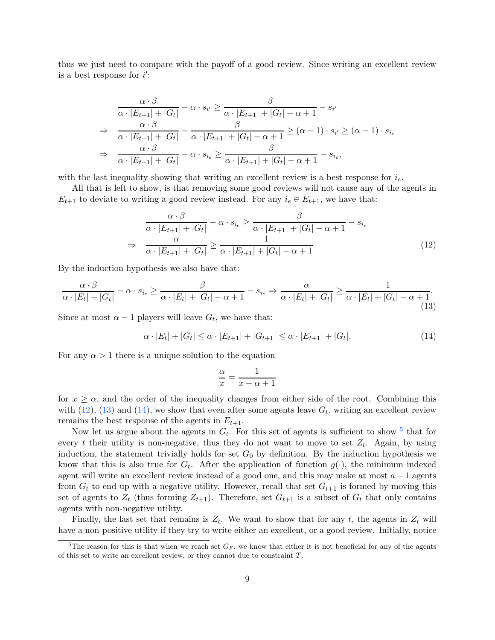thus we just need to compare with the payoff of a good review. Since writing an excellent review is a best response for  $i'$ :

$$
\frac{\alpha \cdot \beta}{\alpha \cdot |E_{t+1}| + |G_t|} - \alpha \cdot s_{i'} \ge \frac{\beta}{\alpha \cdot |E_{t+1}| + |G_t| - \alpha + 1} - s_{i'}
$$
\n
$$
\Rightarrow \frac{\alpha \cdot \beta}{\alpha \cdot |E_{t+1}| + |G_t|} - \frac{\beta}{\alpha \cdot |E_{t+1}| + |G_t| - \alpha + 1} \ge (\alpha - 1) \cdot s_{i'} \ge (\alpha - 1) \cdot s_{i_e}
$$
\n
$$
\Rightarrow \frac{\alpha \cdot \beta}{\alpha \cdot |E_{t+1}| + |G_t|} - \alpha \cdot s_{i_e} \ge \frac{\beta}{\alpha \cdot |E_{t+1}| + |G_t| - \alpha + 1} - s_{i_e},
$$

with the last inequality showing that writing an excellent review is a best response for *ie*.

All that is left to show, is that removing some good reviews will not cause any of the agents in  $E_{t+1}$  to deviate to writing a good review instead. For any  $i_e \in E_{t+1}$ , we have that:

$$
\frac{\alpha \cdot \beta}{\alpha \cdot |E_{t+1}| + |G_t|} - \alpha \cdot s_{i_e} \ge \frac{\beta}{\alpha \cdot |E_{t+1}| + |G_t| - \alpha + 1} - s_{i_e}
$$
\n
$$
\Rightarrow \frac{\alpha}{\alpha \cdot |E_{t+1}| + |G_t|} \ge \frac{1}{\alpha \cdot |E_{t+1}| + |G_t| - \alpha + 1} \tag{12}
$$

By the induction hypothesis we also have that:

$$
\frac{\alpha \cdot \beta}{\alpha \cdot |E_t| + |G_t|} - \alpha \cdot s_{i_e} \ge \frac{\beta}{\alpha \cdot |E_t| + |G_t| - \alpha + 1} - s_{i_e} \Rightarrow \frac{\alpha}{\alpha \cdot |E_t| + |G_t|} \ge \frac{1}{\alpha \cdot |E_t| + |G_t| - \alpha + 1}.
$$
\n(13)

Since at most  $\alpha - 1$  players will leave  $G_t$ , we have that:

$$
\alpha \cdot |E_t| + |G_t| \le \alpha \cdot |E_{t+1}| + |G_{t+1}| \le \alpha \cdot |E_{t+1}| + |G_t|.
$$
\n(14)

For any  $\alpha > 1$  there is a unique solution to the equation

<span id="page-8-2"></span><span id="page-8-1"></span><span id="page-8-0"></span>
$$
\frac{\alpha}{x} = \frac{1}{x - \alpha + 1}
$$

for  $x \geq \alpha$ , and the order of the inequality changes from either side of the root. Combining this with  $(12)$ ,  $(13)$  and  $(14)$ , we show that even after some agents leave  $G_t$ , writing an excellent review remains the best response of the agents in  $E_{t+1}$ .

Now let us argue about the agents in  $G_t$ . For this set of agents is sufficient to show  $^5$  $^5$  that for every *t* their utility is non-negative, thus they do not want to move to set  $Z_t$ . Again, by using induction, the statement trivially holds for set  $G_0$  by definition. By the induction hypothesis we know that this is also true for  $G_t$ . After the application of function  $g(\cdot)$ , the minimum indexed agent will write an excellent review instead of a good one, and this may make at most *a* − 1 agents from  $G_t$  to end up with a negative utility. However, recall that set  $G_{t+1}$  is formed by moving this set of agents to  $Z_t$  (thus forming  $Z_{t+1}$ ). Therefore, set  $G_{t+1}$  is a subset of  $G_t$  that only contains agents with non-negative utility.

Finally, the last set that remains is  $Z_t$ . We want to show that for any  $t$ , the agents in  $Z_t$  will have a non-positive utility if they try to write either an excellent, or a good review. Initially, notice

<span id="page-8-3"></span><sup>&</sup>lt;sup>5</sup>The reason for this is that when we reach set  $G_F$ , we know that either it is not beneficial for any of the agents of this set to write an excellent review, or they cannot due to constraint *T*.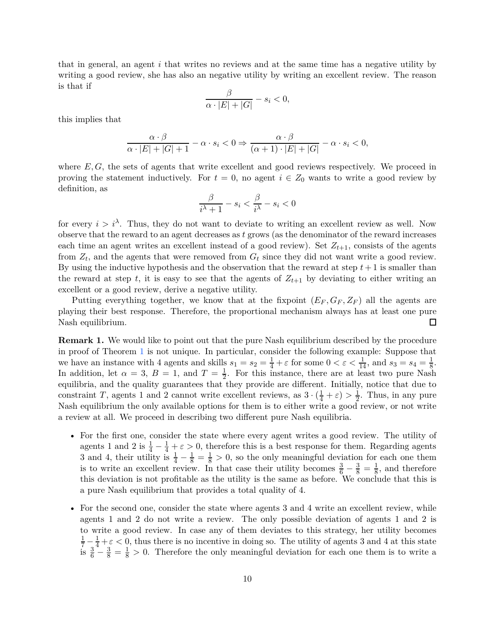that in general, an agent *i* that writes no reviews and at the same time has a negative utility by writing a good review, she has also an negative utility by writing an excellent review. The reason is that if

$$
\frac{\beta}{\alpha \cdot |E| + |G|} - s_i < 0,
$$

this implies that

$$
\frac{\alpha \cdot \beta}{\alpha \cdot |E| + |G| + 1} - \alpha \cdot s_i < 0 \Rightarrow \frac{\alpha \cdot \beta}{(\alpha + 1) \cdot |E| + |G|} - \alpha \cdot s_i < 0,
$$

where *E, G*, the sets of agents that write excellent and good reviews respectively. We proceed in proving the statement inductively. For  $t = 0$ , no agent  $i \in Z_0$  wants to write a good review by definition, as

$$
\frac{\beta}{i^{\lambda}+1} - s_i < \frac{\beta}{i^{\lambda}} - s_i < 0
$$

for every  $i > i^{\lambda}$ . Thus, they do not want to deviate to writing an excellent review as well. Now observe that the reward to an agent decreases as *t* grows (as the denominator of the reward increases each time an agent writes an excellent instead of a good review). Set  $Z_{t+1}$ , consists of the agents from *Z<sup>t</sup>* , and the agents that were removed from *G<sup>t</sup>* since they did not want write a good review. By using the inductive hypothesis and the observation that the reward at step  $t+1$  is smaller than the reward at step *t*, it is easy to see that the agents of  $Z_{t+1}$  by deviating to either writing an excellent or a good review, derive a negative utility.

Putting everything together, we know that at the fixpoint  $(E_F, G_F, Z_F)$  all the agents are playing their best response. Therefore, the proportional mechanism always has at least one pure Nash equilibrium. 囗

**Remark 1.** We would like to point out that the pure Nash equilibrium described by the procedure in proof of Theorem [1](#page-6-1) is not unique. In particular, consider the following example: Suppose that we have an instance with 4 agents and skills  $s_1 = s_2 = \frac{1}{4} + \varepsilon$  for some  $0 < \varepsilon < \frac{1}{14}$ , and  $s_3 = s_4 = \frac{1}{8}$  $\frac{1}{8}$ . In addition, let  $\alpha = 3$ ,  $B = 1$ , and  $T = \frac{1}{2}$  $\frac{1}{2}$ . For this instance, there are at least two pure Nash equilibria, and the quality guarantees that they provide are different. Initially, notice that due to constraint *T*, agents 1 and 2 cannot write excellent reviews, as  $3 \cdot (\frac{1}{4} + \varepsilon) > \frac{1}{2}$ . Thus, in any pure Nash equilibrium the only available options for them is to either write a good review, or not write a review at all. We proceed in describing two different pure Nash equilibria.

- For the first one, consider the state where every agent writes a good review. The utility of agents 1 and 2 is  $\frac{1}{4} - \frac{1}{4} + \varepsilon > 0$ , therefore this is a best response for them. Regarding agents 3 and 4, their utility is  $\frac{1}{4} - \frac{1}{8} = \frac{1}{8} > 0$ , so the only meaningful deviation for each one them is to write an excellent review. In that case their utility becomes  $\frac{3}{6} - \frac{3}{8} = \frac{1}{8}$  $\frac{1}{8}$ , and therefore this deviation is not profitable as the utility is the same as before. We conclude that this is a pure Nash equilibrium that provides a total quality of 4.
- For the second one, consider the state where agents 3 and 4 write an excellent review, while agents 1 and 2 do not write a review. The only possible deviation of agents 1 and 2 is to write a good review. In case any of them deviates to this strategy, her utility becomes  $\frac{1}{7} - \frac{1}{3} + \varepsilon < 0$ , thus there is no incentive in doing so. The utility of agents 3 and 4 at this state is  $\frac{3}{6} - \frac{3}{8} = \frac{1}{8} > 0$ . Therefore the only meaningful deviation for each one them is to write a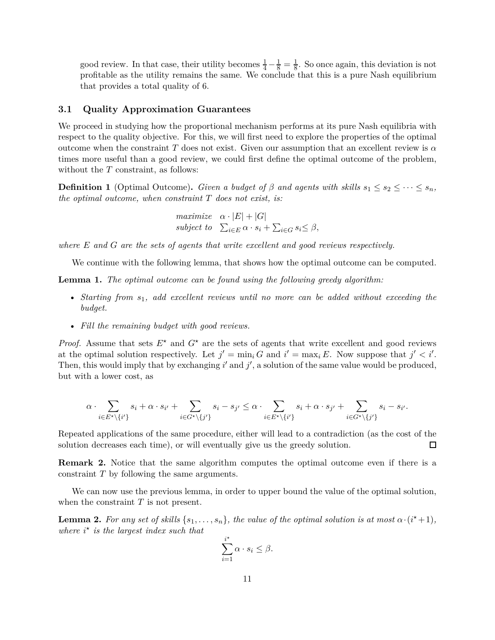good review. In that case, their utility becomes  $\frac{1}{4} - \frac{1}{8} = \frac{1}{8}$ . So once again, this deviation is not profitable as the utility remains the same. We conclude that this is a pure Nash equilibrium that provides a total quality of 6.

### **3.1 Quality Approximation Guarantees**

We proceed in studying how the proportional mechanism performs at its pure Nash equilibria with respect to the quality objective. For this, we will first need to explore the properties of the optimal outcome when the constraint *T* does not exist. Given our assumption that an excellent review is  $\alpha$ times more useful than a good review, we could first define the optimal outcome of the problem, without the *T* constraint, as follows:

**Definition 1** (Optimal Outcome). *Given a budget of*  $\beta$  *and agents with skills*  $s_1 \leq s_2 \leq \cdots \leq s_n$ , *the optimal outcome, when constraint T does not exist, is:*

> *maximize*  $\alpha \cdot |E| + |G|$ *subject to*  $\sum_{i \in E} \alpha \cdot s_i + \sum_{i \in G} s_i \leq \beta$ ,

*where E and G are the sets of agents that write excellent and good reviews respectively.*

We continue with the following lemma, that shows how the optimal outcome can be computed.

**Lemma 1.** *The optimal outcome can be found using the following greedy algorithm:*

- *Starting from s*1*, add excellent reviews until no more can be added without exceeding the budget.*
- *Fill the remaining budget with good reviews.*

*Proof.* Assume that sets  $E^*$  and  $G^*$  are the sets of agents that write excellent and good reviews at the optimal solution respectively. Let  $j' = \min_i G$  and  $i' = \max_i E$ . Now suppose that  $j' < i'$ . Then, this would imply that by exchanging  $i'$  and  $j'$ , a solution of the same value would be produced, but with a lower cost, as

$$
\alpha\cdot\sum_{i\in E^\star\backslash\{i'\}}s_i+\alpha\cdot s_{i'}+\sum_{i\in G^\star\backslash\{j'\}}s_i-s_{j'}\leq \alpha\cdot\sum_{i\in E^\star\backslash\{i'\}}s_i+\alpha\cdot s_{j'}+\sum_{i\in G^\star\backslash\{j'\}}s_i-s_{i'}.
$$

Repeated applications of the same procedure, either will lead to a contradiction (as the cost of the solution decreases each time), or will eventually give us the greedy solution.  $\Box$ 

**Remark 2.** Notice that the same algorithm computes the optimal outcome even if there is a constraint *T* by following the same arguments.

<span id="page-10-0"></span>We can now use the previous lemma, in order to upper bound the value of the optimal solution, when the constraint *T* is not present.

**Lemma 2.** For any set of skills  $\{s_1, \ldots, s_n\}$ , the value of the optimal solution is at most  $\alpha \cdot (i^* + 1)$ , *where i ⋆ is the largest index such that*

$$
\sum_{i=1}^{i^{\star}} \alpha \cdot s_i \leq \beta.
$$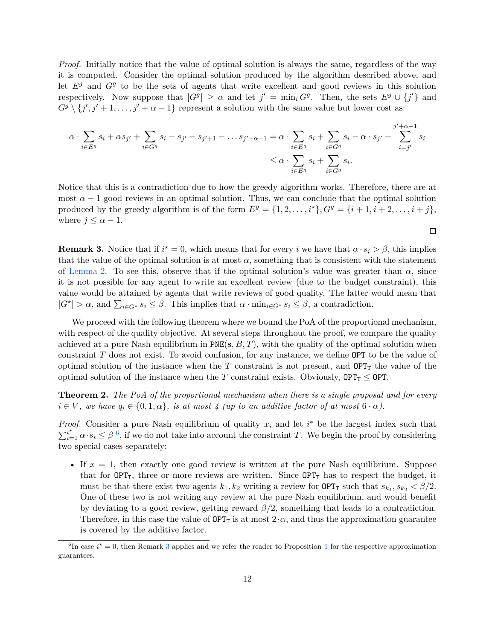*Proof.* Initially notice that the value of optimal solution is always the same, regardless of the way it is computed. Consider the optimal solution produced by the algorithm described above, and let *E<sup>g</sup>* and *G<sup>g</sup>* to be the sets of agents that write excellent and good reviews in this solution respectively. Now suppose that  $|G^g| \ge \alpha$  and let  $j' = \min_i G^g$ . Then, the sets  $E^g \cup \{j'\}$  and  $G^g \setminus \{j', j'+1, \ldots, j'+\alpha-1\}$  represent a solution with the same value but lower cost as:

$$
\alpha \cdot \sum_{i \in E^g} s_i + \alpha s_{j'} + \sum_{i \in G^g} s_i - s_{j'} - s_{j'+1} - \dots s_{j'+\alpha-1} = \alpha \cdot \sum_{i \in E^g} s_i + \sum_{i \in G^g} s_i - \alpha \cdot s_{j'} - \sum_{i=j'}^{j'+\alpha-1} s_i
$$
  

$$
\leq \alpha \cdot \sum_{i \in E^g} s_i + \sum_{i \in G^g} s_i.
$$

Notice that this is a contradiction due to how the greedy algorithm works. Therefore, there are at most  $\alpha - 1$  good reviews in an optimal solution. Thus, we can conclude that the optimal solution produced by the greedy algorithm is of the form  $E^g = \{1, 2, \ldots, i^*\}, G^g = \{i+1, i+2, \ldots, i+j\}$ , where  $j \leq \alpha - 1$ .

 $\Box$ 

<span id="page-11-1"></span>**Remark 3.** Notice that if  $i^* = 0$ , which means that for every *i* we have that  $\alpha \cdot s_i > \beta$ , this implies that the value of the optimal solution is at most  $\alpha$ , something that is consistent with the statement of [Lemma 2.](#page-10-0) To see this, observe that if the optimal solution's value was greater than  $\alpha$ , since it is not possible for any agent to write an excellent review (due to the budget constraint), this value would be attained by agents that write reviews of good quality. The latter would mean that  $|G^*| > \alpha$ , and  $\sum_{i \in G^*} s_i \leq \beta$ . This implies that  $\alpha \cdot \min_{i \in G^*} s_i \leq \beta$ , a contradiction.

We proceed with the following theorem where we bound the PoA of the proportional mechanism, with respect of the quality objective. At several steps throughout the proof, we compare the quality achieved at a pure Nash equilibrium in PNE(**s***, B, T*), with the quality of the optimal solution when constraint *T* does not exist. To avoid confusion, for any instance, we define OPT to be the value of optimal solution of the instance when the  $T$  constraint is not present, and  $\text{OPT}_T$  the value of the optimal solution of the instance when the *T* constraint exists. Obviously,  $OPT_T \leq OPT$ .

**Theorem 2.** *The PoA of the proportional mechanism when there is a single proposal and for every*  $i \in V$ , we have  $q_i \in \{0, 1, \alpha\}$ , is at most 4 (up to an additive factor of at most  $6 \cdot \alpha$ ).

*Proof.* Consider a pure Nash equilibrium of quality *x*, and let *i*<sup>∗</sup> be the largest index such that  $\sum_{i=1}^{i^*}\alpha \cdot s_i \leq \beta^6$  $\sum_{i=1}^{i^*}\alpha \cdot s_i \leq \beta^6$ , if we do not take into account the constraint *T*. We begin the proof by considering two special cases separately:

• If  $x = 1$ , then exactly one good review is written at the pure Nash equilibrium. Suppose that for  $OPT_{T}$ , three or more reviews are written. Since  $OPT_{T}$  has to respect the budget, it must be that there exist two agents  $k_1, k_2$  writing a review for  $OPT_T$  such that  $s_{k_1}, s_{k_2} < \beta/2$ . One of these two is not writing any review at the pure Nash equilibrium, and would benefit by deviating to a good review, getting reward *β/*2, something that leads to a contradiction. Therefore, in this case the value of  $OPT_T$  is at most  $2 \cdot \alpha$ , and thus the approximation guarantee is covered by the additive factor.

<span id="page-11-0"></span><sup>&</sup>lt;sup>6</sup>In case  $i^* = 0$ , then Remark [3](#page-11-1) applies and we refer the reader to Proposition [1](#page-15-0) for the respective approximation guarantees.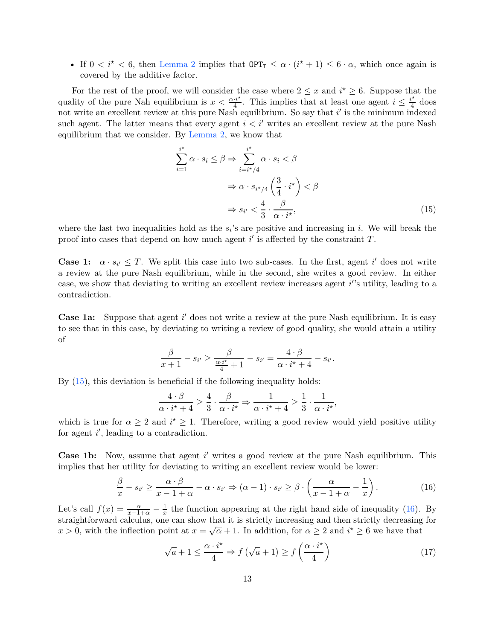• If  $0 < i^* < 6$ , then [Lemma 2](#page-10-0) implies that  $\text{OPT}_T \leq \alpha \cdot (i^* + 1) \leq 6 \cdot \alpha$ , which once again is covered by the additive factor.

For the rest of the proof, we will consider the case where  $2 \leq x$  and  $i^* \geq 6$ . Suppose that the quality of the pure Nah equilibrium is  $x < \frac{\alpha \cdot i^*}{4}$  $\frac{i^*}{4}$ . This implies that at least one agent  $i \leq \frac{i^*}{4}$  $rac{t^2}{4}$  does not write an excellent review at this pure Nash equilibrium. So say that *i*' is the minimum indexed such agent. The latter means that every agent  $i < i'$  writes an excellent review at the pure Nash equilibrium that we consider. By [Lemma 2,](#page-10-0) we know that

<span id="page-12-0"></span>
$$
\sum_{i=1}^{i^*} \alpha \cdot s_i \le \beta \Rightarrow \sum_{i=i^*/4}^{i^*} \alpha \cdot s_i < \beta
$$
\n
$$
\Rightarrow \alpha \cdot s_{i^*/4} \left( \frac{3}{4} \cdot i^* \right) < \beta
$$
\n
$$
\Rightarrow s_{i'} < \frac{4}{3} \cdot \frac{\beta}{\alpha \cdot i^*},\tag{15}
$$

where the last two inequalities hold as the  $s_i$ 's are positive and increasing in *i*. We will break the proof into cases that depend on how much agent  $i'$  is affected by the constraint  $T$ .

**Case 1:**  $\alpha \cdot s_{i'} \leq T$ . We split this case into two sub-cases. In the first, agent *i*' does not write a review at the pure Nash equilibrium, while in the second, she writes a good review. In either case, we show that deviating to writing an excellent review increases agent *i*'s utility, leading to a contradiction.

**Case 1a:** Suppose that agent i' does not write a review at the pure Nash equilibrium. It is easy to see that in this case, by deviating to writing a review of good quality, she would attain a utility of

$$
\frac{\beta}{x+1} - s_{i'} \ge \frac{\beta}{\frac{\alpha \cdot i^{\star}}{4} + 1} - s_{i'} = \frac{4 \cdot \beta}{\alpha \cdot i^{\star} + 4} - s_{i'}.
$$

By [\(15\)](#page-12-0), this deviation is beneficial if the following inequality holds:

$$
\frac{4 \cdot \beta}{\alpha \cdot i^{\star} + 4} \ge \frac{4}{3} \cdot \frac{\beta}{\alpha \cdot i^{\star}} \Rightarrow \frac{1}{\alpha \cdot i^{\star} + 4} \ge \frac{1}{3} \cdot \frac{1}{\alpha \cdot i^{\star}},
$$

which is true for  $\alpha \geq 2$  and  $i^* \geq 1$ . Therefore, writing a good review would yield positive utility for agent  $i'$ , leading to a contradiction.

**Case 1b:** Now, assume that agent *i'* writes a good review at the pure Nash equilibrium. This implies that her utility for deviating to writing an excellent review would be lower:

$$
\frac{\beta}{x} - s_{i'} \ge \frac{\alpha \cdot \beta}{x - 1 + \alpha} - \alpha \cdot s_{i'} \Rightarrow (\alpha - 1) \cdot s_{i'} \ge \beta \cdot \left(\frac{\alpha}{x - 1 + \alpha} - \frac{1}{x}\right). \tag{16}
$$

Let's call  $f(x) = \frac{\alpha}{x-1+\alpha} - \frac{1}{x}$  the function appearing at the right hand side of inequality [\(16\)](#page-12-1). By straightforward calculus, one can show that it is strictly increasing and then strictly decreasing for *x* > 0, with the inflection point at  $x = \sqrt{\alpha} + 1$ . In addition, for  $\alpha \ge 2$  and  $i^* \ge 6$  we have that

<span id="page-12-2"></span><span id="page-12-1"></span>
$$
\sqrt{a} + 1 \le \frac{\alpha \cdot i^{\star}}{4} \Rightarrow f\left(\sqrt{a} + 1\right) \ge f\left(\frac{\alpha \cdot i^{\star}}{4}\right) \tag{17}
$$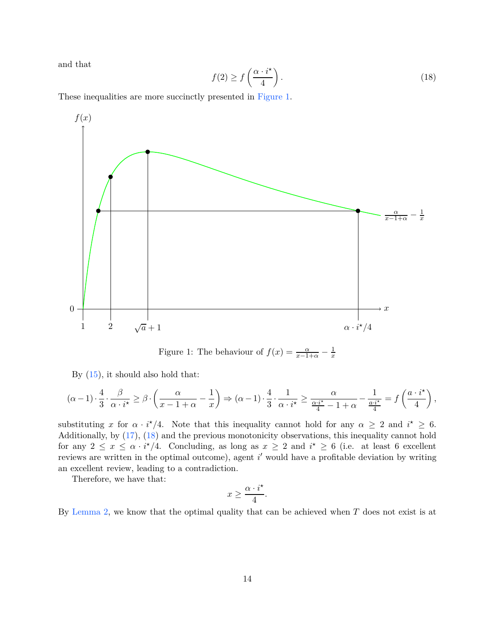<span id="page-13-1"></span>and that

$$
f(2) \ge f\left(\frac{\alpha \cdot i^{\star}}{4}\right). \tag{18}
$$

These inequalities are more succinctly presented in [Figure 1.](#page-13-0)



<span id="page-13-0"></span>Figure 1: The behaviour of  $f(x) = \frac{\alpha}{x-1+\alpha} - \frac{1}{x}$ *x*

By [\(15\)](#page-12-0), it should also hold that:

$$
(\alpha-1)\cdot \frac{4}{3}\cdot \frac{\beta}{\alpha\cdot i^\star}\geq \beta\cdot \left(\frac{\alpha}{x-1+\alpha}-\frac{1}{x}\right)\Rightarrow (\alpha-1)\cdot \frac{4}{3}\cdot \frac{1}{\alpha\cdot i^\star}\geq \frac{\alpha}{\frac{\alpha\cdot i^\star}{4}-1+\alpha}-\frac{1}{\frac{a\cdot i^\star}{4}}=f\left(\frac{a\cdot i^\star}{4}\right),
$$

substituting *x* for  $\alpha \cdot i^*/4$ . Note that this inequality cannot hold for any  $\alpha \geq 2$  and  $i^* \geq 6$ . Additionally, by [\(17\)](#page-12-2), [\(18\)](#page-13-1) and the previous monotonicity observations, this inequality cannot hold for any  $2 \leq x \leq \alpha \cdot i^*/4$ . Concluding, as long as  $x \geq 2$  and  $i^* \geq 6$  (i.e. at least 6 excellent reviews are written in the optimal outcome), agent *i'* would have a profitable deviation by writing an excellent review, leading to a contradiction.

Therefore, we have that:

$$
x \geq \frac{\alpha \cdot i^\star}{4}.
$$

By [Lemma 2,](#page-10-0) we know that the optimal quality that can be achieved when *T* does not exist is at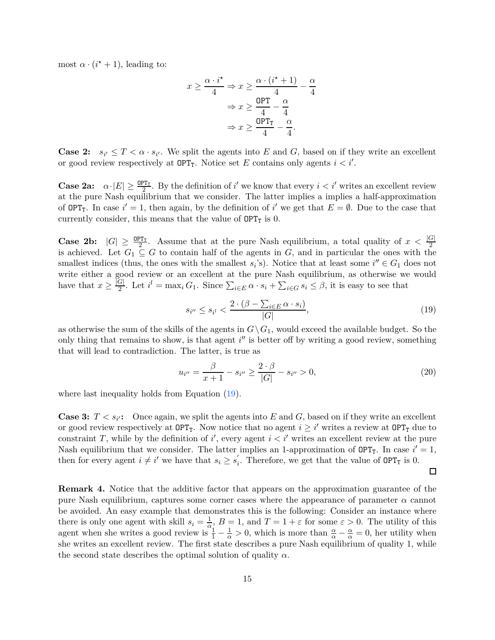most  $\alpha \cdot (i^* + 1)$ , leading to:

$$
x \ge \frac{\alpha \cdot i^*}{4} \Rightarrow x \ge \frac{\alpha \cdot (i^* + 1)}{4} - \frac{\alpha}{4}
$$

$$
\Rightarrow x \ge \frac{\text{OPT}}{4} - \frac{\alpha}{4}
$$

$$
\Rightarrow x \ge \frac{\text{OPT}_T}{4} - \frac{\alpha}{4}.
$$

**Case 2:**  $s_{i'} \leq T < \alpha \cdot s_{i'}$ . We split the agents into *E* and *G*, based on if they write an excellent or good review respectively at  $OPT_T$ . Notice set *E* contains only agents  $i < i'$ .

**Case 2a:**  $\alpha \cdot |E| \ge \frac{9PT_T}{2}$ . By the definition of *i'* we know that every  $i < i'$  writes an excellent review at the pure Nash equilibrium that we consider. The latter implies a implies a half-approximation of  $OPT_T$ . In case  $i' = 1$ , then again, by the definition of  $i'$  we get that  $E = \emptyset$ . Due to the case that currently consider, this means that the value of  $OPT_T$  is 0.

**Case 2b:**  $|G| \geq \frac{OPT_T}{2}$ . Assume that at the pure Nash equilibrium, a total quality of  $x < \frac{|G|}{2}$ is achieved. Let  $G_1 \subseteq G$  to contain half of the agents in  $G$ , and in particular the ones with the smallest indices (thus, the ones with the smallest  $s_i$ 's). Notice that at least some  $i'' \in G_1$  does not write either a good review or an excellent at the pure Nash equilibrium, as otherwise we would have that  $x \geq \frac{|G|}{2}$  $\frac{G}{2}$ . Let  $i^l = \max_i G_1$ . Since  $\sum_{i \in E} \alpha \cdot s_i + \sum_{i \in G} s_i \leq \beta$ , it is easy to see that

$$
s_{i''} \le s_{i'} < \frac{2 \cdot (\beta - \sum_{i \in E} \alpha \cdot s_i)}{|G|},\tag{19}
$$

<span id="page-14-0"></span>as otherwise the sum of the skills of the agents in  $G\setminus G_1$ , would exceed the available budget. So the only thing that remains to show, is that agent *i*<sup>"</sup> is better off by writing a good review, something that will lead to contradiction. The latter, is true as

$$
u_{i''} = \frac{\beta}{x+1} - s_{i''} \ge \frac{2 \cdot \beta}{|G|} - s_{i''} > 0,
$$
\n(20)

 $\Box$ 

where last inequality holds from Equation  $(19)$ .

**Case 3:**  $T \leq s_{i'}$ : Once again, we split the agents into *E* and *G*, based on if they write an excellent or good review respectively at  $OPT_T$ . Now notice that no agent  $i \geq i'$  writes a review at  $OPT_T$  due to constraint *T*, while by the definition of *i*<sup>'</sup>, every agent  $i < i'$  writes an excellent review at the pure Nash equilibrium that we consider. The latter implies an 1-approximation of  $OPT_T$ . In case  $i' = 1$ , then for every agent  $i \neq i'$  we have that  $s_i \geq s'_i$  $\int_{i}$ . Therefore, we get that the value of  $OPT_T$  is 0.

**Remark 4.** Notice that the additive factor that appears on the approximation guarantee of the pure Nash equilibrium, captures some corner cases where the appearance of parameter  $\alpha$  cannot be avoided. An easy example that demonstrates this is the following: Consider an instance where there is only one agent with skill  $s_i = \frac{1}{\alpha}$  $\frac{1}{\alpha}$ ,  $B = 1$ , and  $T = 1 + \varepsilon$  for some  $\varepsilon > 0$ . The utility of this agent when she writes a good review is  $\frac{1}{1} - \frac{1}{\alpha} > 0$ , which is more than  $\frac{\alpha}{\alpha} - \frac{\alpha}{\alpha} = 0$ , her utility when she writes an excellent review. The first state describes a pure Nash equilibrium of quality 1, while the second state describes the optimal solution of quality  $\alpha$ .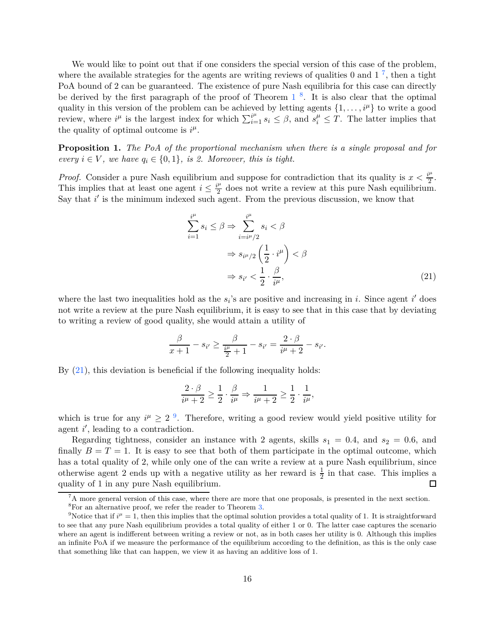We would like to point out that if one considers the special version of this case of the problem, where the available strategies for the agents are writing reviews of qualities 0 and  $1^7$  $1^7$ , then a tight PoA bound of 2 can be guaranteed. The existence of pure Nash equilibria for this case can directly be derived by the first paragraph of the proof of Theorem  $1^{-8}$  $1^{-8}$  $1^{-8}$  $1^{-8}$ . It is also clear that the optimal quality in this version of the problem can be achieved by letting agents  $\{1, \ldots, i^{\mu}\}\$  to write a good review, where  $i^{\mu}$  is the largest index for which  $\sum_{i=1}^{i^{\mu}} s_i \leq \beta$ , and  $s_i^{\mu} \leq T$ . The latter implies that the quality of optimal outcome is  $i^{\mu}$ .

<span id="page-15-0"></span>**Proposition 1.** *The PoA of the proportional mechanism when there is a single proposal and for every*  $i \in V$ *, we have*  $q_i \in \{0, 1\}$ *, is 2. Moreover, this is tight.* 

*Proof.* Consider a pure Nash equilibrium and suppose for contradiction that its quality is  $x < \frac{i^{\mu}}{2}$  $\frac{1}{2}$ . This implies that at least one agent  $i \leq \frac{i^{\mu}}{2}$  $\frac{\mu}{2}$  does not write a review at this pure Nash equilibrium. Say that  $i'$  is the minimum indexed such agent. From the previous discussion, we know that

<span id="page-15-3"></span>
$$
\sum_{i=1}^{i^{\mu}} s_i \le \beta \Rightarrow \sum_{i=i^{\mu}/2}^{i^{\mu}} s_i < \beta
$$
  

$$
\Rightarrow s_{i^{\mu}/2} \left(\frac{1}{2} \cdot i^{\mu}\right) < \beta
$$
  

$$
\Rightarrow s_{i'} < \frac{1}{2} \cdot \frac{\beta}{i^{\mu}}, \tag{21}
$$

where the last two inequalities hold as the  $s_i$ 's are positive and increasing in *i*. Since agent *i*' does not write a review at the pure Nash equilibrium, it is easy to see that in this case that by deviating to writing a review of good quality, she would attain a utility of

$$
\frac{\beta}{x+1} - s_{i'} \ge \frac{\beta}{\frac{i^{\mu}}{2}+1} - s_{i'} = \frac{2 \cdot \beta}{i^{\mu}+2} - s_{i'}.
$$

By [\(21\)](#page-15-3), this deviation is beneficial if the following inequality holds:

$$
\frac{2 \cdot \beta}{i^{\mu} + 2} \ge \frac{1}{2} \cdot \frac{\beta}{i^{\mu}} \Rightarrow \frac{1}{i^{\mu} + 2} \ge \frac{1}{2} \cdot \frac{1}{i^{\mu}},
$$

which is true for any  $i^{\mu} \geq 2^{-9}$  $i^{\mu} \geq 2^{-9}$  $i^{\mu} \geq 2^{-9}$ . Therefore, writing a good review would yield positive utility for agent *i*<sup>'</sup>, leading to a contradiction.

Regarding tightness, consider an instance with 2 agents, skills  $s_1 = 0.4$ , and  $s_2 = 0.6$ , and finally  $B = T = 1$ . It is easy to see that both of them participate in the optimal outcome, which has a total quality of 2, while only one of the can write a review at a pure Nash equilibrium, since otherwise agent 2 ends up with a negative utility as her reward is  $\frac{1}{2}$  in that case. This implies a quality of 1 in any pure Nash equilibrium.  $\Box$ 

<sup>&</sup>lt;sup>7</sup>A more general version of this case, where there are more that one proposals, is presented in the next section.

<span id="page-15-2"></span><span id="page-15-1"></span><sup>8</sup>For an alternative proof, we refer the reader to Theorem [3.](#page-16-1)

<span id="page-15-4"></span><sup>&</sup>lt;sup>9</sup>Notice that if  $i^{\mu} = 1$ , then this implies that the optimal solution provides a total quality of 1. It is straightforward to see that any pure Nash equilibrium provides a total quality of either 1 or 0. The latter case captures the scenario where an agent is indifferent between writing a review or not, as in both cases her utility is 0. Although this implies an infinite PoA if we measure the performance of the equilibrium according to the definition, as this is the only case that something like that can happen, we view it as having an additive loss of 1.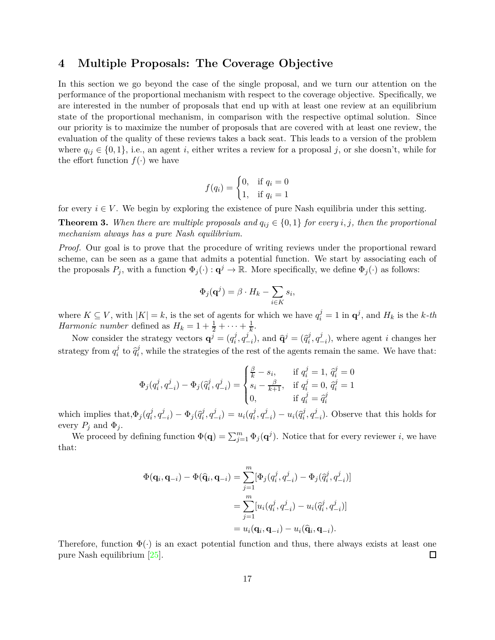### <span id="page-16-0"></span>**4 Multiple Proposals: The Coverage Objective**

In this section we go beyond the case of the single proposal, and we turn our attention on the performance of the proportional mechanism with respect to the coverage objective. Specifically, we are interested in the number of proposals that end up with at least one review at an equilibrium state of the proportional mechanism, in comparison with the respective optimal solution. Since our priority is to maximize the number of proposals that are covered with at least one review, the evaluation of the quality of these reviews takes a back seat. This leads to a version of the problem where  $q_{ij} \in \{0,1\}$ , i.e., an agent *i*, either writes a review for a proposal *j*, or she doesn't, while for the effort function  $f(\cdot)$  we have

$$
f(q_i) = \begin{cases} 0, & \text{if } q_i = 0\\ 1, & \text{if } q_i = 1 \end{cases}
$$

<span id="page-16-1"></span>for every  $i \in V$ . We begin by exploring the existence of pure Nash equilibria under this setting.

**Theorem 3.** When there are multiple proposals and  $q_{ij} \in \{0,1\}$  for every *i*, *j*, then the proportional *mechanism always has a pure Nash equilibrium.*

*Proof.* Our goal is to prove that the procedure of writing reviews under the proportional reward scheme, can be seen as a game that admits a potential function. We start by associating each of the proposals  $P_j$ , with a function  $\Phi_j(\cdot) : \mathbf{q}^j \to \mathbb{R}$ . More specifically, we define  $\Phi_j(\cdot)$  as follows:

$$
\Phi_j(\mathbf{q}^j) = \beta \cdot H_k - \sum_{i \in K} s_i,
$$

where  $K \subseteq V$ , with  $|K| = k$ , is the set of agents for which we have  $q_i^j = 1$  in  $\mathbf{q}^j$ , and  $H_k$  is the *k-th Harmonic number* defined as  $H_k = 1 + \frac{1}{2} + \cdots + \frac{1}{k}$  $\frac{1}{k}$ .

Now consider the strategy vectors  $\mathbf{q}^j = (q_i^j)$  $i^j, q^j$  $(\hat{q}_i^j)$ , and  $\hat{\mathbf{q}}^j = (\hat{q}_i^j)$  $i^j,q^j_ \binom{J}{i}$ , where agent *i* changes her strategy from  $q_i^j$  $\hat{q}$ <sup>*j*</sup> to  $\hat{q}$ <sup>*j*</sup>  $\hat{i}$ , while the strategies of the rest of the agents remain the same. We have that:

$$
\Phi_j(q_i^j, q_{-i}^j) - \Phi_j(\hat{q}_i^j, q_{-i}^j) = \begin{cases} \frac{\beta}{k} - s_i, & \text{if } q_i^j = 1, \ \hat{q}_i^j = 0\\ s_i - \frac{\beta}{k+1}, & \text{if } q_i^j = 0, \ \hat{q}_i^j = 1\\ 0, & \text{if } q_i^j = \hat{q}_i^j \end{cases}
$$

which implies that,  $\Phi_j(q_i^j)$  $i^j, q^j$  $(\hat{q}_i^j) - \Phi_j(\hat{q}_i^j)$  $i^j, q^j$  $\binom{j}{-i} = u_i(q_i^j)$  $i^j, q^j$  $\left(\frac{j}{-i}\right) - u_i(\hat{q}_i^j)$  $i^j, q^j$ −*i* )*.* Observe that this holds for every  $P_j$  and  $\Phi_j$ .

We proceed by defining function  $\Phi(\mathbf{q}) = \sum_{j=1}^{m} \Phi_j(\mathbf{q}^j)$ . Notice that for every reviewer *i*, we have that:

$$
\Phi(\mathbf{q}_i, \mathbf{q}_{-i}) - \Phi(\widehat{\mathbf{q}}_i, \mathbf{q}_{-i}) = \sum_{j=1}^m [\Phi_j(q_i^j, q_{-i}^j) - \Phi_j(\widehat{q}_i^j, q_{-i}^j)]
$$
  
\n
$$
= \sum_{j=1}^m [u_i(q_i^j, q_{-i}^j) - u_i(\widehat{q}_i^j, q_{-i}^j)]
$$
  
\n
$$
= u_i(\mathbf{q}_i, \mathbf{q}_{-i}) - u_i(\widehat{\mathbf{q}}_i, \mathbf{q}_{-i}).
$$

Therefore, function  $\Phi(\cdot)$  is an exact potential function and thus, there always exists at least one pure Nash equilibrium [25]. pure Nash equilibrium [\[25](#page-24-7)].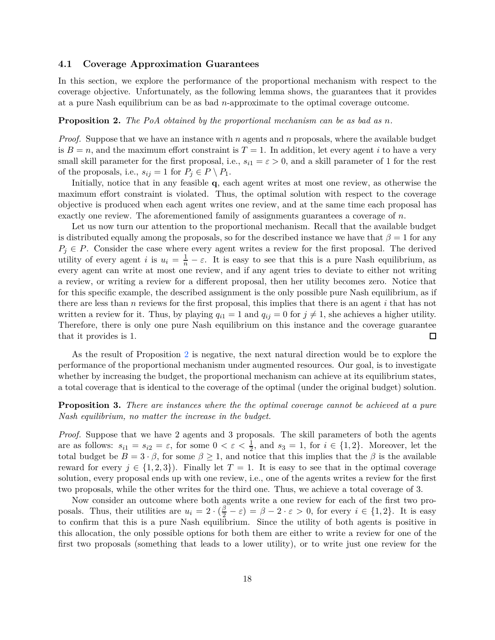### **4.1 Coverage Approximation Guarantees**

<span id="page-17-0"></span>In this section, we explore the performance of the proportional mechanism with respect to the coverage objective. Unfortunately, as the following lemma shows, the guarantees that it provides at a pure Nash equilibrium can be as bad *n*-approximate to the optimal coverage outcome.

#### **Proposition 2.** *The PoA obtained by the proportional mechanism can be as bad as n.*

*Proof.* Suppose that we have an instance with *n* agents and *n* proposals, where the available budget is  $B = n$ , and the maximum effort constraint is  $T = 1$ . In addition, let every agent *i* to have a very small skill parameter for the first proposal, i.e.,  $s_{i1} = \varepsilon > 0$ , and a skill parameter of 1 for the rest of the proposals, i.e.,  $s_{ij} = 1$  for  $P_j \in P \setminus P_1$ .

Initially, notice that in any feasible **q**, each agent writes at most one review, as otherwise the maximum effort constraint is violated. Thus, the optimal solution with respect to the coverage objective is produced when each agent writes one review, and at the same time each proposal has exactly one review. The aforementioned family of assignments guarantees a coverage of *n*.

Let us now turn our attention to the proportional mechanism. Recall that the available budget is distributed equally among the proposals, so for the described instance we have that  $\beta = 1$  for any  $P_j \in P$ . Consider the case where every agent writes a review for the first proposal. The derived utility of every agent *i* is  $u_i = \frac{1}{n} - \varepsilon$ . It is easy to see that this is a pure Nash equilibrium, as every agent can write at most one review, and if any agent tries to deviate to either not writing a review, or writing a review for a different proposal, then her utility becomes zero. Notice that for this specific example, the described assignment is the only possible pure Nash equilibrium, as if there are less than *n* reviews for the first proposal, this implies that there is an agent *i* that has not written a review for it. Thus, by playing  $q_{i1} = 1$  and  $q_{ij} = 0$  for  $j \neq 1$ , she achieves a higher utility. Therefore, there is only one pure Nash equilibrium on this instance and the coverage guarantee that it provides is 1. □

As the result of Proposition [2](#page-17-0) is negative, the next natural direction would be to explore the performance of the proportional mechanism under augmented resources. Our goal, is to investigate whether by increasing the budget, the proportional mechanism can achieve at its equilibrium states, a total coverage that is identical to the coverage of the optimal (under the original budget) solution.

<span id="page-17-1"></span>**Proposition 3.** *There are instances where the the optimal coverage cannot be achieved at a pure Nash equilibrium, no matter the increase in the budget.*

*Proof.* Suppose that we have 2 agents and 3 proposals. The skill parameters of both the agents are as follows:  $s_{i1} = s_{i2} = \varepsilon$ , for some  $0 < \varepsilon < \frac{1}{2}$ , and  $s_3 = 1$ , for  $i \in \{1, 2\}$ . Moreover, let the total budget be  $B = 3 \cdot \beta$ , for some  $\beta \ge 1$ , and notice that this implies that the  $\beta$  is the available reward for every  $j \in \{1,2,3\}$ . Finally let  $T = 1$ . It is easy to see that in the optimal coverage solution, every proposal ends up with one review, i.e., one of the agents writes a review for the first two proposals, while the other writes for the third one. Thus, we achieve a total coverage of 3.

Now consider an outcome where both agents write a one review for each of the first two proposals. Thus, their utilities are  $u_i = 2 \cdot (\frac{\beta}{2} - \varepsilon) = \beta - 2 \cdot \varepsilon > 0$ , for every  $i \in \{1, 2\}$ . It is easy to confirm that this is a pure Nash equilibrium. Since the utility of both agents is positive in this allocation, the only possible options for both them are either to write a review for one of the first two proposals (something that leads to a lower utility), or to write just one review for the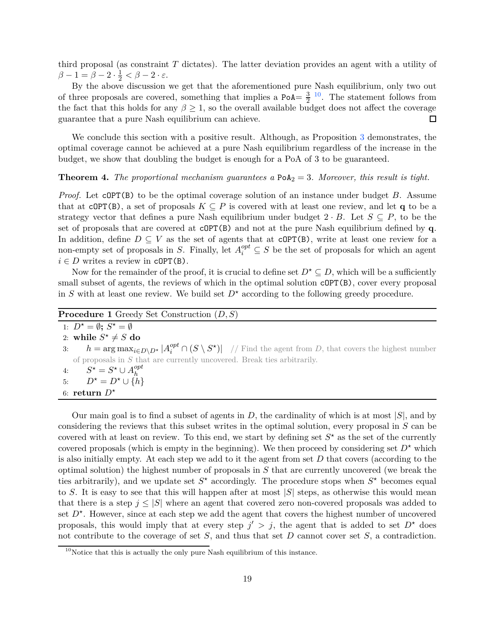third proposal (as constraint *T* dictates). The latter deviation provides an agent with a utility of  $\beta - 1 = \beta - 2 \cdot \frac{1}{2} < \beta - 2 \cdot \varepsilon.$ 

By the above discussion we get that the aforementioned pure Nash equilibrium, only two out of three proposals are covered, something that implies a PoA =  $\frac{3}{2}$  $\frac{3}{2}$  <sup>[10](#page-18-0)</sup>. The statement follows from the fact that this holds for any  $\beta \geq 1$ , so the overall available budget does not affect the coverage guarantee that a pure Nash equilibrium can achieve. guarantee that a pure Nash equilibrium can achieve.

We conclude this section with a positive result. Although, as Proposition [3](#page-17-1) demonstrates, the optimal coverage cannot be achieved at a pure Nash equilibrium regardless of the increase in the budget, we show that doubling the budget is enough for a PoA of 3 to be guaranteed.

### **Theorem 4.** *The proportional mechanism guarantees a*  $PoA_2 = 3$ *. Moreover, this result is tight.*

*Proof.* Let cOPT(B) to be the optimal coverage solution of an instance under budget *B*. Assume that at cOPT(B), a set of proposals  $K \subseteq P$  is covered with at least one review, and let **q** to be a strategy vector that defines a pure Nash equilibrium under budget  $2 \cdot B$ . Let  $S \subseteq P$ , to be the set of proposals that are covered at cOPT(B) and not at the pure Nash equilibrium defined by **q**. In addition, define  $D \subseteq V$  as the set of agents that at cOPT(B), write at least one review for a non-empty set of proposals in *S*. Finally, let  $A_i^{opt} \subseteq S$  be the set of proposals for which an agent  $i \in D$  writes a review in  $\text{cOPT}(B)$ .

Now for the remainder of the proof, it is crucial to define set  $D^* \subseteq D$ , which will be a sufficiently small subset of agents, the reviews of which in the optimal solution  $\text{CDPT}(B)$ , cover every proposal in *S* with at least one review. We build set  $D^*$  according to the following greedy procedure.

| <b>Procedure 1</b> Greedy Set Construction $(D, S)$                                                                                    |
|----------------------------------------------------------------------------------------------------------------------------------------|
| 1: $D^* = \emptyset$ ; $S^* = \emptyset$                                                                                               |
| 2: while $S^* \neq S$ do                                                                                                               |
| 3: $h = \arg \max_{i \in D \setminus D^*}  A_i^{opt} \cap (S \setminus S^*) $ // Find the agent from D, that covers the highest number |
| of proposals in $S$ that are currently uncovered. Break ties arbitrarily.                                                              |
| 4: $S^* = S^* \cup A_h^{opt}$                                                                                                          |
| 5: $D^* = D^* \cup \{h\}$                                                                                                              |
| 6: return $D^*$                                                                                                                        |

Our main goal is to find a subset of agents in *D*, the cardinality of which is at most |*S*|, and by considering the reviews that this subset writes in the optimal solution, every proposal in *S* can be covered with at least on review. To this end, we start by defining set  $S^*$  as the set of the currently covered proposals (which is empty in the beginning). We then proceed by considering set  $D^*$  which is also initially empty. At each step we add to it the agent from set *D* that covers (according to the optimal solution) the highest number of proposals in *S* that are currently uncovered (we break the ties arbitrarily), and we update set  $S^*$  accordingly. The procedure stops when  $S^*$  becomes equal to *S*. It is easy to see that this will happen after at most |*S*| steps, as otherwise this would mean that there is a step  $j \leq |S|$  where an agent that covered zero non-covered proposals was added to set  $D^*$ . However, since at each step we add the agent that covers the highest number of uncovered proposals, this would imply that at every step  $j' > j$ , the agent that is added to set  $D^*$  does not contribute to the coverage of set *S*, and thus that set *D* cannot cover set *S*, a contradiction.

<span id="page-18-0"></span> $10$ Notice that this is actually the only pure Nash equilibrium of this instance.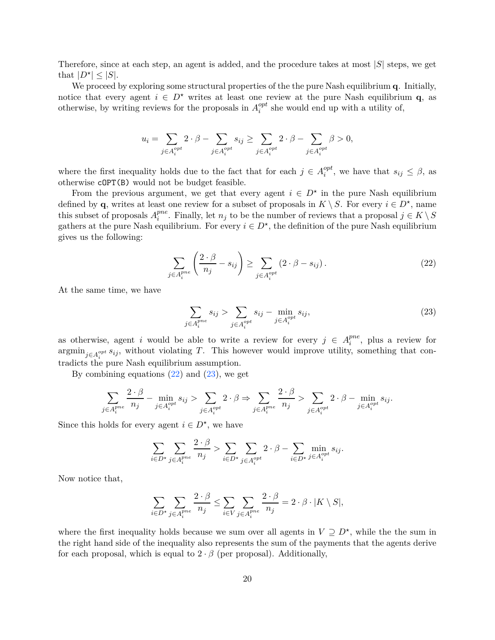Therefore, since at each step, an agent is added, and the procedure takes at most |*S*| steps, we get that  $|D^{\star}| \leq |S|$ .

We proceed by exploring some structural properties of the the pure Nash equilibrium **q**. Initially, notice that every agent  $i \in D^*$  writes at least one review at the pure Nash equilibrium **q**, as otherwise, by writing reviews for the proposals in  $A_i^{opt}$  $i$ <sup>opt</sup> she would end up with a utility of,

$$
u_i = \sum_{j \in A_i^{opt}} 2 \cdot \beta - \sum_{j \in A_i^{opt}} s_{ij} \ge \sum_{j \in A_i^{opt}} 2 \cdot \beta - \sum_{j \in A_i^{opt}} \beta > 0,
$$

where the first inequality holds due to the fact that for each  $j \in A_i^{opt}$  $e_i^{opt}$ , we have that  $s_{ij} \leq \beta$ , as otherwise cOPT(B) would not be budget feasible.

<span id="page-19-0"></span>From the previous argument, we get that every agent  $i \in D^*$  in the pure Nash equilibrium defined by **q**, writes at least one review for a subset of proposals in  $K \setminus S$ . For every  $i \in D^*$ , name this subset of proposals  $A_i^{pne}$  $i$ <sup>*pne</sup>*. Finally, let *n<sub>j</sub>* to be the number of reviews that a proposal  $j \in K \setminus S$ </sup> gathers at the pure Nash equilibrium. For every  $i \in D^*$ , the definition of the pure Nash equilibrium gives us the following:

$$
\sum_{j \in A_i^{pne}} \left( \frac{2 \cdot \beta}{n_j} - s_{ij} \right) \ge \sum_{j \in A_i^{opt}} \left( 2 \cdot \beta - s_{ij} \right). \tag{22}
$$

<span id="page-19-1"></span>At the same time, we have

$$
\sum_{j \in A_i^{pne}} s_{ij} > \sum_{j \in A_i^{opt}} s_{ij} - \min_{j \in A_i^{opt}} s_{ij},\tag{23}
$$

as otherwise, agent *i* would be able to write a review for every  $j \in A_i^{pne}$  $i^{pne}$ , plus a review for  $\operatorname{argmin}_{j \in A_i^{opt}} s_{ij}$ , without violating *T*. This however would improve utility, something that contradicts the pure Nash equilibrium assumption.

By combining equations  $(22)$  and  $(23)$ , we get

$$
\sum_{j \in A_i^{pne}} \frac{2 \cdot \beta}{n_j} - \min_{j \in A_i^{opt}} s_{ij} > \sum_{j \in A_i^{opt}} 2 \cdot \beta \Rightarrow \sum_{j \in A_i^{pne}} \frac{2 \cdot \beta}{n_j} > \sum_{j \in A_i^{opt}} 2 \cdot \beta - \min_{j \in A_i^{opt}} s_{ij}.
$$

Since this holds for every agent  $i \in D^*$ , we have

$$
\sum_{i \in D^{\star}} \sum_{j \in A_i^{pne}} \frac{2 \cdot \beta}{n_j} > \sum_{i \in D^{\star}} \sum_{j \in A_i^{opt}} 2 \cdot \beta - \sum_{i \in D^{\star}} \min_{j \in A_i^{opt}} s_{ij}.
$$

Now notice that,

$$
\sum_{i \in D^{\star}} \sum_{j \in A_i^{pne}} \frac{2 \cdot \beta}{n_j} \le \sum_{i \in V} \sum_{j \in A_i^{pne}} \frac{2 \cdot \beta}{n_j} = 2 \cdot \beta \cdot |K \setminus S|,
$$

where the first inequality holds because we sum over all agents in  $V \supseteq D^*$ , while the sum in the right hand side of the inequality also represents the sum of the payments that the agents derive for each proposal, which is equal to  $2 \cdot \beta$  (per proposal). Additionally,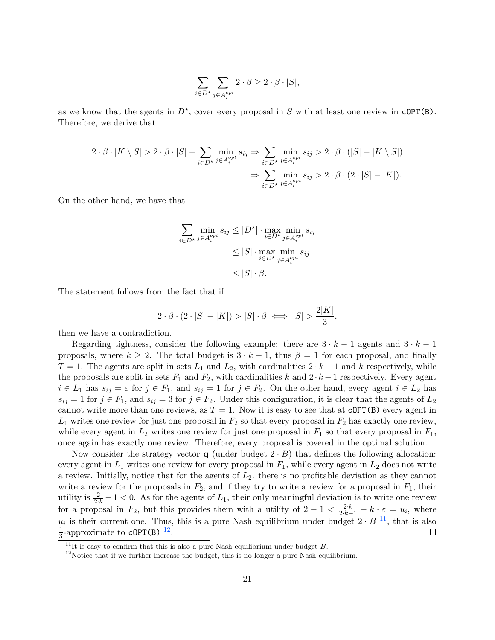$$
\sum_{i \in D^\star} \sum_{j \in A_i^{opt}} 2 \cdot \beta \ge 2 \cdot \beta \cdot |S|,
$$

as we know that the agents in  $D^*$ , cover every proposal in *S* with at least one review in  $\text{cOPT}(B)$ . Therefore, we derive that,

$$
2 \cdot \beta \cdot |K \setminus S| > 2 \cdot \beta \cdot |S| - \sum_{i \in D^{\star}} \min_{j \in A_i^{opt}} s_{ij} \Rightarrow \sum_{i \in D^{\star}} \min_{j \in A_i^{opt}} s_{ij} > 2 \cdot \beta \cdot (|S| - |K \setminus S|)
$$

$$
\Rightarrow \sum_{i \in D^{\star}} \min_{j \in A_i^{opt}} s_{ij} > 2 \cdot \beta \cdot (2 \cdot |S| - |K|).
$$

On the other hand, we have that

$$
\sum_{i \in D^{\star}} \min_{j \in A_i^{opt}} s_{ij} \le |D^{\star}| \cdot \max_{i \in D^{\star}} \min_{j \in A_i^{opt}} s_{ij}
$$
  

$$
\le |S| \cdot \max_{i \in D^{\star}} \min_{j \in A_i^{opt}} s_{ij}
$$
  

$$
\le |S| \cdot \beta.
$$

The statement follows from the fact that if

$$
2 \cdot \beta \cdot (2 \cdot |S| - |K|) > |S| \cdot \beta \iff |S| > \frac{2|K|}{3},
$$

then we have a contradiction.

Regarding tightness, consider the following example: there are  $3 \cdot k - 1$  agents and  $3 \cdot k - 1$ proposals, where  $k \geq 2$ . The total budget is  $3 \cdot k - 1$ , thus  $\beta = 1$  for each proposal, and finally *T* = 1. The agents are split in sets  $L_1$  and  $L_2$ , with cardinalities  $2 \cdot k - 1$  and *k* respectively, while the proposals are split in sets  $F_1$  and  $F_2$ , with cardinalities  $k$  and  $2 \cdot k - 1$  respectively. Every agent  $i \in L_1$  has  $s_{ij} = \varepsilon$  for  $j \in F_1$ , and  $s_{ij} = 1$  for  $j \in F_2$ . On the other hand, every agent  $i \in L_2$  has  $s_{ij} = 1$  for  $j \in F_1$ , and  $s_{ij} = 3$  for  $j \in F_2$ . Under this configuration, it is clear that the agents of  $L_2$ cannot write more than one reviews, as  $T = 1$ . Now it is easy to see that at  $\text{CDPT}(B)$  every agent in  $L_1$  writes one review for just one proposal in  $F_2$  so that every proposal in  $F_2$  has exactly one review, while every agent in  $L_2$  writes one review for just one proposal in  $F_1$  so that every proposal in  $F_1$ , once again has exactly one review. Therefore, every proposal is covered in the optimal solution.

Now consider the strategy vector **q** (under budget  $2 \cdot B$ ) that defines the following allocation: every agent in  $L_1$  writes one review for every proposal in  $F_1$ , while every agent in  $L_2$  does not write a review. Initially, notice that for the agents of *L*2. there is no profitable deviation as they cannot write a review for the proposals in  $F_2$ , and if they try to write a review for a proposal in  $F_1$ , their utility is  $\frac{2}{2k} - 1 < 0$ . As for the agents of  $L_1$ , their only meaningful deviation is to write one review for a proposal in  $F_2$ , but this provides them with a utility of  $2 - 1 < \frac{2 \cdot k}{2 \cdot k - 1} - k \cdot \varepsilon = u_i$ , where  $u_i$  is their current one. Thus, this is a pure Nash equilibrium under budget  $2 \cdot B^{-11}$  $2 \cdot B^{-11}$  $2 \cdot B^{-11}$ , that is also 1  $\frac{1}{3}$ -approximate to **cOPT(B)** <sup>[12](#page-20-1)</sup>.

 $11$ It is easy to confirm that this is also a pure Nash equilibrium under budget *B*.

<span id="page-20-1"></span><span id="page-20-0"></span> $12$ Notice that if we further increase the budget, this is no longer a pure Nash equilibrium.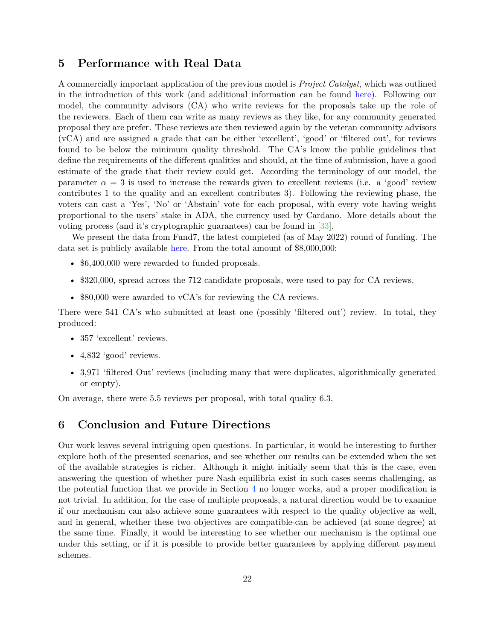### <span id="page-21-0"></span>**5 Performance with Real Data**

A commercially important application of the previous model is *Project Catalyst*, which was outlined in the introduction of this work (and additional information can be found [here\)](https://cardanocataly.st). Following our model, the community advisors (CA) who write reviews for the proposals take up the role of the reviewers. Each of them can write as many reviews as they like, for any community generated proposal they are prefer. These reviews are then reviewed again by the veteran community advisors (vCA) and are assigned a grade that can be either 'excellent', 'good' or 'filtered out', for reviews found to be below the minimum quality threshold. The CA's know the public guidelines that define the requirements of the different qualities and should, at the time of submission, have a good estimate of the grade that their review could get. According the terminology of our model, the parameter  $\alpha = 3$  is used to increase the rewards given to excellent reviews (i.e. a 'good' review contributes 1 to the quality and an excellent contributes 3). Following the reviewing phase, the voters can cast a 'Yes', 'No' or 'Abstain' vote for each proposal, with every vote having weight proportional to the users' stake in ADA, the currency used by Cardano. More details about the voting process (and it's cryptographic guarantees) can be found in [\[33](#page-24-8)].

We present the data from Fund7, the latest completed (as of May 2022) round of funding. The data set is publicly available [here.](https://docs.google.com/spreadsheets/d/1ZM3ytXkMB34iSo2LamNxpver-rs9fShnpeNEia-VdBo/edit?usp=sharing) From the total amount of \$8,000,000:

- \$6,400,000 were rewarded to funded proposals.
- \$320,000, spread across the 712 candidate proposals, were used to pay for CA reviews.
- \$80,000 were awarded to vCA's for reviewing the CA reviews.

There were 541 CA's who submitted at least one (possibly 'filtered out') review. In total, they produced:

- 357 'excellent' reviews.
- 4,832 'good' reviews.
- 3,971 'filtered Out' reviews (including many that were duplicates, algorithmically generated or empty).

On average, there were 5*.*5 reviews per proposal, with total quality 6*.*3.

### **6 Conclusion and Future Directions**

Our work leaves several intriguing open questions. In particular, it would be interesting to further explore both of the presented scenarios, and see whether our results can be extended when the set of the available strategies is richer. Although it might initially seem that this is the case, even answering the question of whether pure Nash equilibria exist in such cases seems challenging, as the potential function that we provide in Section [4](#page-16-0) no longer works, and a proper modification is not trivial. In addition, for the case of multiple proposals, a natural direction would be to examine if our mechanism can also achieve some guarantees with respect to the quality objective as well, and in general, whether these two objectives are compatible-can be achieved (at some degree) at the same time. Finally, it would be interesting to see whether our mechanism is the optimal one under this setting, or if it is possible to provide better guarantees by applying different payment schemes.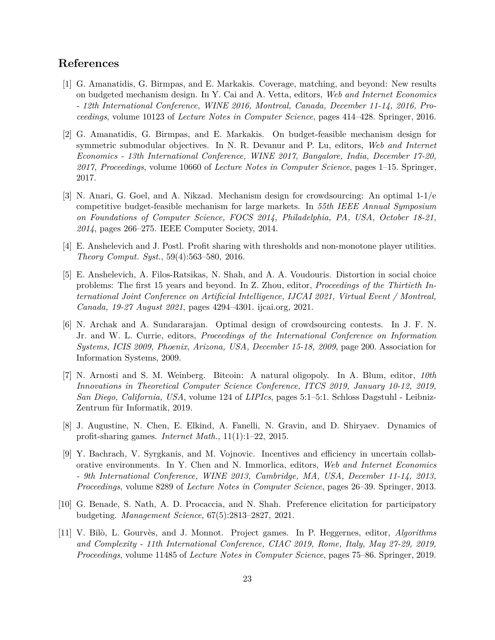# **References**

- <span id="page-22-4"></span>[1] G. Amanatidis, G. Birmpas, and E. Markakis. Coverage, matching, and beyond: New results on budgeted mechanism design. In Y. Cai and A. Vetta, editors, *Web and Internet Economics - 12th International Conference, WINE 2016, Montreal, Canada, December 11-14, 2016, Proceedings*, volume 10123 of *Lecture Notes in Computer Science*, pages 414–428. Springer, 2016.
- [2] G. Amanatidis, G. Birmpas, and E. Markakis. On budget-feasible mechanism design for symmetric submodular objectives. In N. R. Devanur and P. Lu, editors, *Web and Internet Economics - 13th International Conference, WINE 2017, Bangalore, India, December 17-20, 2017, Proceedings*, volume 10660 of *Lecture Notes in Computer Science*, pages 1–15. Springer, 2017.
- <span id="page-22-5"></span>[3] N. Anari, G. Goel, and A. Nikzad. Mechanism design for crowdsourcing: An optimal 1-1/e competitive budget-feasible mechanism for large markets. In *55th IEEE Annual Symposium on Foundations of Computer Science, FOCS 2014, Philadelphia, PA, USA, October 18-21, 2014*, pages 266–275. IEEE Computer Society, 2014.
- <span id="page-22-6"></span>[4] E. Anshelevich and J. Postl. Profit sharing with thresholds and non-monotone player utilities. *Theory Comput. Syst.*, 59(4):563–580, 2016.
- <span id="page-22-1"></span>[5] E. Anshelevich, A. Filos-Ratsikas, N. Shah, and A. A. Voudouris. Distortion in social choice problems: The first 15 years and beyond. In Z. Zhou, editor, *Proceedings of the Thirtieth International Joint Conference on Artificial Intelligence, IJCAI 2021, Virtual Event / Montreal, Canada, 19-27 August 2021*, pages 4294–4301. ijcai.org, 2021.
- <span id="page-22-3"></span>[6] N. Archak and A. Sundararajan. Optimal design of crowdsourcing contests. In J. F. N. Jr. and W. L. Currie, editors, *Proceedings of the International Conference on Information Systems, ICIS 2009, Phoenix, Arizona, USA, December 15-18, 2009*, page 200. Association for Information Systems, 2009.
- <span id="page-22-2"></span>[7] N. Arnosti and S. M. Weinberg. Bitcoin: A natural oligopoly. In A. Blum, editor, *10th Innovations in Theoretical Computer Science Conference, ITCS 2019, January 10-12, 2019, San Diego, California, USA*, volume 124 of *LIPIcs*, pages 5:1–5:1. Schloss Dagstuhl - Leibniz-Zentrum für Informatik, 2019.
- <span id="page-22-7"></span>[8] J. Augustine, N. Chen, E. Elkind, A. Fanelli, N. Gravin, and D. Shiryaev. Dynamics of profit-sharing games. *Internet Math.*, 11(1):1–22, 2015.
- <span id="page-22-8"></span>[9] Y. Bachrach, V. Syrgkanis, and M. Vojnovic. Incentives and efficiency in uncertain collaborative environments. In Y. Chen and N. Immorlica, editors, *Web and Internet Economics - 9th International Conference, WINE 2013, Cambridge, MA, USA, December 11-14, 2013, Proceedings*, volume 8289 of *Lecture Notes in Computer Science*, pages 26–39. Springer, 2013.
- <span id="page-22-0"></span>[10] G. Benade, S. Nath, A. D. Procaccia, and N. Shah. Preference elicitation for participatory budgeting. *Management Science*, 67(5):2813–2827, 2021.
- <span id="page-22-9"></span>[11] V. Bilò, L. Gourvès, and J. Monnot. Project games. In P. Heggernes, editor, *Algorithms and Complexity - 11th International Conference, CIAC 2019, Rome, Italy, May 27-29, 2019, Proceedings*, volume 11485 of *Lecture Notes in Computer Science*, pages 75–86. Springer, 2019.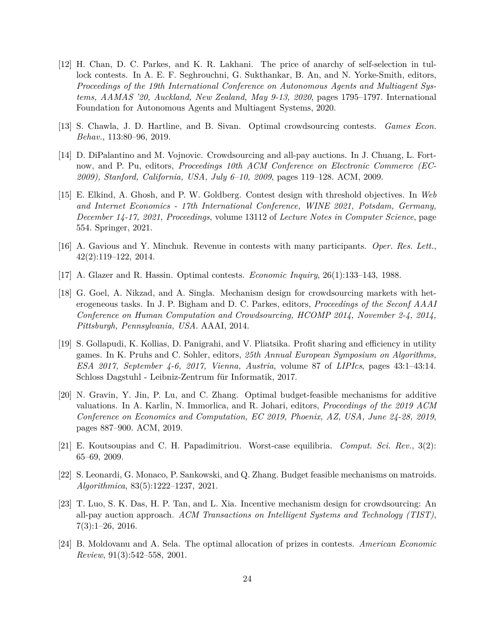- <span id="page-23-3"></span>[12] H. Chan, D. C. Parkes, and K. R. Lakhani. The price of anarchy of self-selection in tullock contests. In A. E. F. Seghrouchni, G. Sukthankar, B. An, and N. Yorke-Smith, editors, *Proceedings of the 19th International Conference on Autonomous Agents and Multiagent Systems, AAMAS '20, Auckland, New Zealand, May 9-13, 2020*, pages 1795–1797. International Foundation for Autonomous Agents and Multiagent Systems, 2020.
- <span id="page-23-0"></span>[13] S. Chawla, J. D. Hartline, and B. Sivan. Optimal crowdsourcing contests. *Games Econ. Behav.*, 113:80–96, 2019.
- <span id="page-23-1"></span>[14] D. DiPalantino and M. Vojnovic. Crowdsourcing and all-pay auctions. In J. Chuang, L. Fortnow, and P. Pu, editors, *Proceedings 10th ACM Conference on Electronic Commerce (EC-2009), Stanford, California, USA, July 6–10, 2009*, pages 119–128. ACM, 2009.
- <span id="page-23-5"></span>[15] E. Elkind, A. Ghosh, and P. W. Goldberg. Contest design with threshold objectives. In *Web and Internet Economics - 17th International Conference, WINE 2021, Potsdam, Germany, December 14-17, 2021, Proceedings*, volume 13112 of *Lecture Notes in Computer Science*, page 554. Springer, 2021.
- <span id="page-23-7"></span>[16] A. Gavious and Y. Minchuk. Revenue in contests with many participants. *Oper. Res. Lett.*, 42(2):119–122, 2014.
- <span id="page-23-6"></span>[17] A. Glazer and R. Hassin. Optimal contests. *Economic Inquiry*, 26(1):133–143, 1988.
- <span id="page-23-8"></span>[18] G. Goel, A. Nikzad, and A. Singla. Mechanism design for crowdsourcing markets with heterogeneous tasks. In J. P. Bigham and D. C. Parkes, editors, *Proceedings of the Seconf AAAI Conference on Human Computation and Crowdsourcing, HCOMP 2014, November 2-4, 2014, Pittsburgh, Pennsylvania, USA*. AAAI, 2014.
- <span id="page-23-11"></span>[19] S. Gollapudi, K. Kollias, D. Panigrahi, and V. Pliatsika. Profit sharing and efficiency in utility games. In K. Pruhs and C. Sohler, editors, *25th Annual European Symposium on Algorithms, ESA 2017, September 4-6, 2017, Vienna, Austria*, volume 87 of *LIPIcs*, pages 43:1–43:14. Schloss Dagstuhl - Leibniz-Zentrum für Informatik, 2017.
- <span id="page-23-9"></span>[20] N. Gravin, Y. Jin, P. Lu, and C. Zhang. Optimal budget-feasible mechanisms for additive valuations. In A. Karlin, N. Immorlica, and R. Johari, editors, *Proceedings of the 2019 ACM Conference on Economics and Computation, EC 2019, Phoenix, AZ, USA, June 24-28, 2019*, pages 887–900. ACM, 2019.
- <span id="page-23-12"></span>[21] E. Koutsoupias and C. H. Papadimitriou. Worst-case equilibria. *Comput. Sci. Rev.*, 3(2): 65–69, 2009.
- <span id="page-23-10"></span>[22] S. Leonardi, G. Monaco, P. Sankowski, and Q. Zhang. Budget feasible mechanisms on matroids. *Algorithmica*, 83(5):1222–1237, 2021.
- <span id="page-23-2"></span>[23] T. Luo, S. K. Das, H. P. Tan, and L. Xia. Incentive mechanism design for crowdsourcing: An all-pay auction approach. *ACM Transactions on Intelligent Systems and Technology (TIST)*, 7(3):1–26, 2016.
- <span id="page-23-4"></span>[24] B. Moldovanu and A. Sela. The optimal allocation of prizes in contests. *American Economic Review*, 91(3):542–558, 2001.